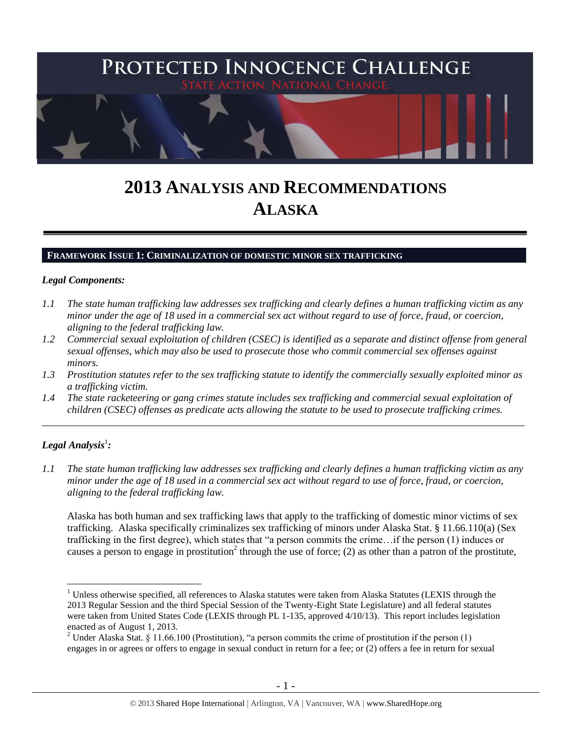

# **2013 ANALYSIS AND RECOMMENDATIONS ALASKA**

#### **FRAMEWORK ISSUE 1: CRIMINALIZATION OF DOMESTIC MINOR SEX TRAFFICKING**

#### *Legal Components:*

- *1.1 The state human trafficking law addresses sex trafficking and clearly defines a human trafficking victim as any minor under the age of 18 used in a commercial sex act without regard to use of force, fraud, or coercion, aligning to the federal trafficking law.*
- *1.2 Commercial sexual exploitation of children (CSEC) is identified as a separate and distinct offense from general sexual offenses, which may also be used to prosecute those who commit commercial sex offenses against minors.*
- *1.3 Prostitution statutes refer to the sex trafficking statute to identify the commercially sexually exploited minor as a trafficking victim.*
- *1.4 The state racketeering or gang crimes statute includes sex trafficking and commercial sexual exploitation of children (CSEC) offenses as predicate acts allowing the statute to be used to prosecute trafficking crimes.*

\_\_\_\_\_\_\_\_\_\_\_\_\_\_\_\_\_\_\_\_\_\_\_\_\_\_\_\_\_\_\_\_\_\_\_\_\_\_\_\_\_\_\_\_\_\_\_\_\_\_\_\_\_\_\_\_\_\_\_\_\_\_\_\_\_\_\_\_\_\_\_\_\_\_\_\_\_\_\_\_\_\_\_\_\_\_\_\_\_\_\_\_\_\_

# $\bm{\mathit{Legal\, Analysis^1}}$ :

<span id="page-0-0"></span> $\overline{a}$ 

*1.1 The state human trafficking law addresses sex trafficking and clearly defines a human trafficking victim as any minor under the age of 18 used in a commercial sex act without regard to use of force, fraud, or coercion, aligning to the federal trafficking law.*

Alaska has both human and sex trafficking laws that apply to the trafficking of domestic minor victims of sex trafficking. Alaska specifically criminalizes sex trafficking of minors under Alaska Stat. § 11.66.110(a) (Sex trafficking in the first degree), which states that "a person commits the crime…if the person (1) induces or causes a person to engage in prostitution<sup>2</sup> through the use of force; (2) as other than a patron of the prostitute,

 $<sup>1</sup>$  Unless otherwise specified, all references to Alaska statutes were taken from Alaska Statutes (LEXIS through the</sup> 2013 Regular Session and the third Special Session of the Twenty-Eight State Legislature) and all federal statutes were taken from United States Code (LEXIS through PL 1-135, approved 4/10/13). This report includes legislation enacted as of August 1, 2013.

<sup>&</sup>lt;sup>2</sup> Under Alaska Stat. § 11.66.100 (Prostitution), "a person commits the crime of prostitution if the person (1) engages in or agrees or offers to engage in sexual conduct in return for a fee; or (2) offers a fee in return for sexual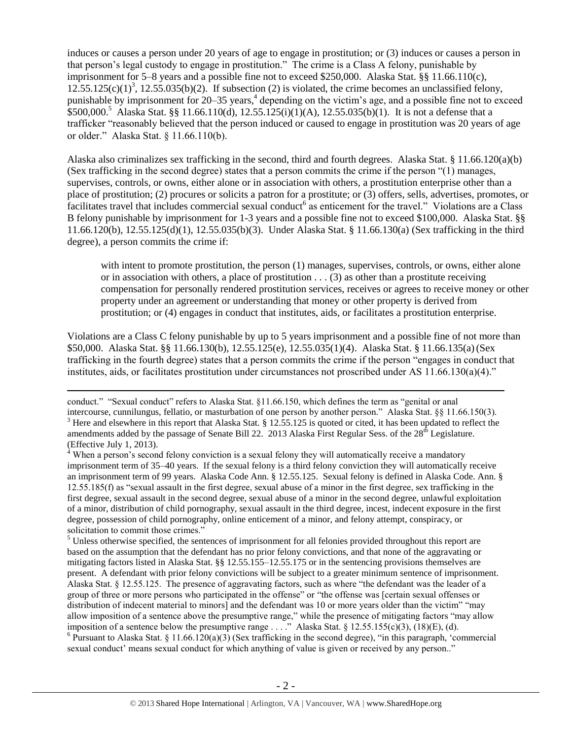<span id="page-1-1"></span><span id="page-1-0"></span>induces or causes a person under 20 years of age to engage in prostitution; or (3) induces or causes a person in that person's legal custody to engage in prostitution." The crime is a Class A felony, punishable by imprisonment for 5–8 years and a possible fine not to exceed \$250,000. Alaska Stat. §§ 11.66.110(c),  $12.55.125(c)(1)^3$ ,  $12.55.035(b)(2)$ . If subsection (2) is violated, the crime becomes an unclassified felony, punishable by imprisonment for 20–35 years,<sup>4</sup> depending on the victim's age, and a possible fine not to exceed  $$500,000.<sup>5</sup>$  Alaska Stat. §§ 11.66.110(d), 12.55.125(i)(1)(A), 12.55.035(b)(1). It is not a defense that a trafficker "reasonably believed that the person induced or caused to engage in prostitution was 20 years of age or older." Alaska Stat. § 11.66.110(b).

Alaska also criminalizes sex trafficking in the second, third and fourth degrees. Alaska Stat. § 11.66.120(a)(b) (Sex trafficking in the second degree) states that a person commits the crime if the person "(1) manages, supervises, controls, or owns, either alone or in association with others, a prostitution enterprise other than a place of prostitution; (2) procures or solicits a patron for a prostitute; or (3) offers, sells, advertises, promotes, or facilitates travel that includes commercial sexual conduct<sup>6</sup> as enticement for the travel." Violations are a Class B felony punishable by imprisonment for 1-3 years and a possible fine not to exceed \$100,000. Alaska Stat. §§ 11.66.120(b), 12.55.125(d)(1), 12.55.035(b)(3). Under Alaska Stat. § 11.66.130(a) (Sex trafficking in the third degree), a person commits the crime if:

with intent to promote prostitution, the person (1) manages, supervises, controls, or owns, either alone or in association with others, a place of prostitution . . . (3) as other than a prostitute receiving compensation for personally rendered prostitution services, receives or agrees to receive money or other property under an agreement or understanding that money or other property is derived from prostitution; or (4) engages in conduct that institutes, aids, or facilitates a prostitution enterprise.

Violations are a Class C felony punishable by up to 5 years imprisonment and a possible fine of not more than \$50,000. Alaska Stat. §§ 11.66.130(b), 12.55.125(e), 12.55.035(1)(4). Alaska Stat. § 11.66.135(a)(Sex trafficking in the fourth degree) states that a person commits the crime if the person "engages in conduct that institutes, aids, or facilitates prostitution under circumstances not proscribed under AS 11.66.130(a)(4)."

 $\overline{a}$ 

<sup>5</sup> Unless otherwise specified, the sentences of imprisonment for all felonies provided throughout this report are based on the assumption that the defendant has no prior felony convictions, and that none of the aggravating or mitigating factors listed in Alaska Stat. §§ 12.55.155–12.55.175 or in the sentencing provisions themselves are present. A defendant with prior felony convictions will be subject to a greater minimum sentence of imprisonment. Alaska Stat. § 12.55.125. The presence of aggravating factors, such as where "the defendant was the leader of a group of three or more persons who participated in the offense" or "the offense was [certain sexual offenses or distribution of indecent material to minors] and the defendant was 10 or more years older than the victim" "may allow imposition of a sentence above the presumptive range," while the presence of mitigating factors "may allow imposition of a sentence below the presumptive range . . . ." Alaska Stat. § 12.55.155(c)(3), (18)(E), (d).

<sup>6</sup> Pursuant to Alaska Stat. § 11.66.120(a)(3) (Sex trafficking in the second degree), "in this paragraph, 'commercial sexual conduct' means sexual conduct for which anything of value is given or received by any person.."

conduct." "Sexual conduct" refers to Alaska Stat. §11.66.150, which defines the term as "genital or anal intercourse, cunnilungus, fellatio, or masturbation of one person by another person." Alaska Stat. §§ 11.66.150(3). <sup>3</sup> Here and elsewhere in this report that Alaska Stat. § 12.55.125 is quoted or cited, it has been updated to reflect the amendments added by the passage of Senate Bill 22. 2013 Alaska First Regular Sess. of the  $28<sup>th</sup>$  Legislature. (Effective July 1, 2013).

<sup>&</sup>lt;sup>4</sup> When a person's second felony conviction is a sexual felony they will automatically receive a mandatory imprisonment term of 35–40 years. If the sexual felony is a third felony conviction they will automatically receive an imprisonment term of 99 years. Alaska Code Ann. § 12.55.125. Sexual felony is defined in Alaska Code. Ann. § 12.55.185(f) as "sexual assault in the first degree, sexual abuse of a minor in the first degree, sex trafficking in the first degree, sexual assault in the second degree, sexual abuse of a minor in the second degree, unlawful exploitation of a minor, distribution of child pornography, sexual assault in the third degree, incest, indecent exposure in the first degree, possession of child pornography, online enticement of a minor, and felony attempt, conspiracy, or solicitation to commit those crimes."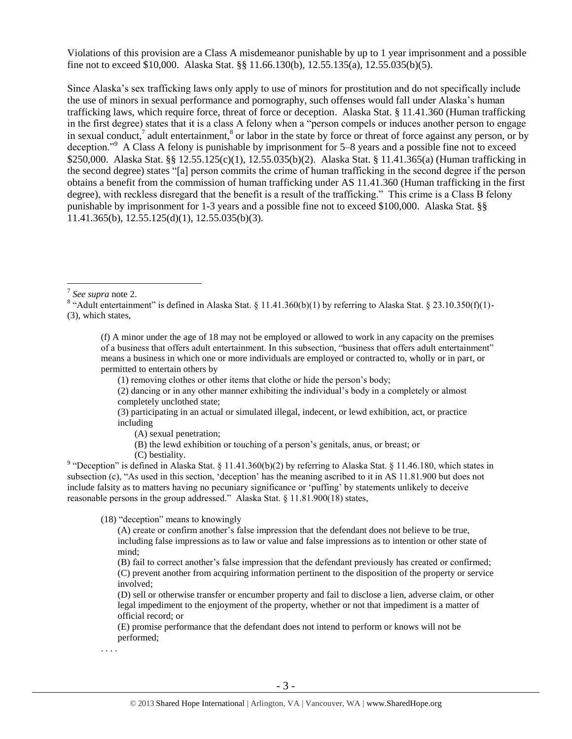Violations of this provision are a Class A misdemeanor punishable by up to 1 year imprisonment and a possible fine not to exceed \$10,000. Alaska Stat. §§ 11.66.130(b), 12.55.135(a), 12.55.035(b)(5).

Since Alaska's sex trafficking laws only apply to use of minors for prostitution and do not specifically include the use of minors in sexual performance and pornography, such offenses would fall under Alaska's human trafficking laws, which require force, threat of force or deception. Alaska Stat. § 11.41.360 (Human trafficking in the first degree) states that it is a class A felony when a "person compels or induces another person to engage in sexual conduct,<sup>7</sup> adult entertainment,<sup>8</sup> or labor in the state by force or threat of force against any person, or by deception."<sup>9</sup> A Class A felony is punishable by imprisonment for 5–8 years and a possible fine not to exceed \$250,000. Alaska Stat. §§ 12.55.125(c)(1), 12.55.035(b)(2). Alaska Stat. § 11.41.365(a) (Human trafficking in the second degree) states "[a] person commits the crime of human trafficking in the second degree if the person obtains a benefit from the commission of human trafficking under AS 11.41.360 (Human trafficking in the first degree), with reckless disregard that the benefit is a result of the trafficking." This crime is a Class B felony punishable by imprisonment for 1-3 years and a possible fine not to exceed \$100,000. Alaska Stat. §§ 11.41.365(b), 12.55.125(d)(1), 12.55.035(b)(3).

 $\overline{a}$ 

(f) A minor under the age of 18 may not be employed or allowed to work in any capacity on the premises of a business that offers adult entertainment. In this subsection, "business that offers adult entertainment" means a business in which one or more individuals are employed or contracted to, wholly or in part, or permitted to entertain others by

(1) removing clothes or other items that clothe or hide the person's body;

(2) dancing or in any other manner exhibiting the individual's body in a completely or almost completely unclothed state;

(3) participating in an actual or simulated illegal, indecent, or lewd exhibition, act, or practice including

(A) sexual penetration;

(B) the lewd exhibition or touching of a person's genitals, anus, or breast; or

(C) bestiality.

<sup>9</sup> "Deception" is defined in Alaska Stat. § 11.41.360(b)(2) by referring to Alaska Stat. § 11.46.180, which states in subsection (c), "As used in this section, 'deception' has the meaning ascribed to it in AS 11.81.900 but does not include falsity as to matters having no pecuniary significance or 'puffing' by statements unlikely to deceive reasonable persons in the group addressed." Alaska Stat. § 11.81.900(18) states,

(18) "deception" means to knowingly

(A) create or confirm another's false impression that the defendant does not believe to be true, including false impressions as to law or value and false impressions as to intention or other state of mind;

(B) fail to correct another's false impression that the defendant previously has created or confirmed; (C) prevent another from acquiring information pertinent to the disposition of the property or service involved;

(D) sell or otherwise transfer or encumber property and fail to disclose a lien, adverse claim, or other legal impediment to the enjoyment of the property, whether or not that impediment is a matter of official record; or

(E) promise performance that the defendant does not intend to perform or knows will not be performed;

. . . .

<sup>7</sup> *See supra* note [2.](#page-0-0)

<sup>&</sup>lt;sup>8</sup> "Adult entertainment" is defined in Alaska Stat. § 11.41.360(b)(1) by referring to Alaska Stat. § 23.10.350(f)(1)-(3), which states,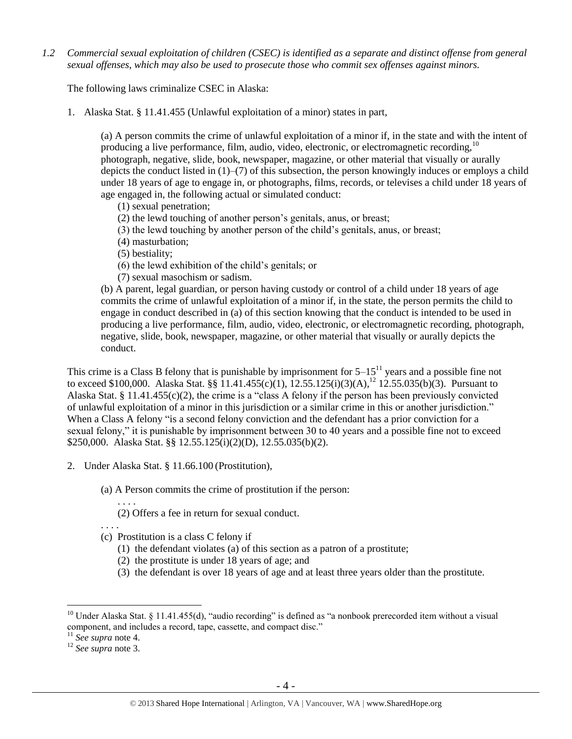*1.2 Commercial sexual exploitation of children (CSEC) is identified as a separate and distinct offense from general sexual offenses, which may also be used to prosecute those who commit sex offenses against minors.*

The following laws criminalize CSEC in Alaska:

1. Alaska Stat. § 11.41.455 (Unlawful exploitation of a minor) states in part,

(a) A person commits the crime of unlawful exploitation of a minor if, in the state and with the intent of producing a live performance, film, audio, video, electronic, or electromagnetic recording,  $10$ photograph, negative, slide, book, newspaper, magazine, or other material that visually or aurally depicts the conduct listed in (1)–(7) of this subsection, the person knowingly induces or employs a child under 18 years of age to engage in, or photographs, films, records, or televises a child under 18 years of age engaged in, the following actual or simulated conduct:

- (1) sexual penetration;
- (2) the lewd touching of another person's genitals, anus, or breast;
- (3) the lewd touching by another person of the child's genitals, anus, or breast;
- (4) masturbation;
- (5) bestiality;
- (6) the lewd exhibition of the child's genitals; or
- (7) sexual masochism or sadism.

(b) A parent, legal guardian, or person having custody or control of a child under 18 years of age commits the crime of unlawful exploitation of a minor if, in the state, the person permits the child to engage in conduct described in (a) of this section knowing that the conduct is intended to be used in producing a live performance, film, audio, video, electronic, or electromagnetic recording, photograph, negative, slide, book, newspaper, magazine, or other material that visually or aurally depicts the conduct.

This crime is a Class B felony that is punishable by imprisonment for  $5-15^{11}$  years and a possible fine not to exceed \$100,000. Alaska Stat. §§  $\overline{11.41.455(c)(1)}$ ,  $\overline{12.55.125(i)(3)(A)}$ ,<sup>12</sup> 12.55.035(b)(3). Pursuant to Alaska Stat. § 11.41.455(c)(2), the crime is a "class A felony if the person has been previously convicted of unlawful exploitation of a minor in this jurisdiction or a similar crime in this or another jurisdiction." When a Class A felony "is a second felony conviction and the defendant has a prior conviction for a sexual felony," it is punishable by imprisonment between 30 to 40 years and a possible fine not to exceed \$250,000. Alaska Stat. §§ 12.55.125(i)(2)(D), 12.55.035(b)(2).

- 2. Under Alaska Stat. § 11.66.100 (Prostitution),
	- (a) A Person commits the crime of prostitution if the person:
		- . . . . (2) Offers a fee in return for sexual conduct.
	- . . . .
	- (c) Prostitution is a class C felony if
		- (1) the defendant violates (a) of this section as a patron of a prostitute;
		- (2) the prostitute is under 18 years of age; and
		- (3) the defendant is over 18 years of age and at least three years older than the prostitute.

<sup>&</sup>lt;sup>10</sup> Under Alaska Stat. § 11.41.455(d), "audio recording" is defined as "a nonbook prerecorded item without a visual component, and includes a record, tape, cassette, and compact disc."

<sup>11</sup> *See supra* note [4.](#page-1-0)

<sup>12</sup> *See supra* note [3.](#page-1-1)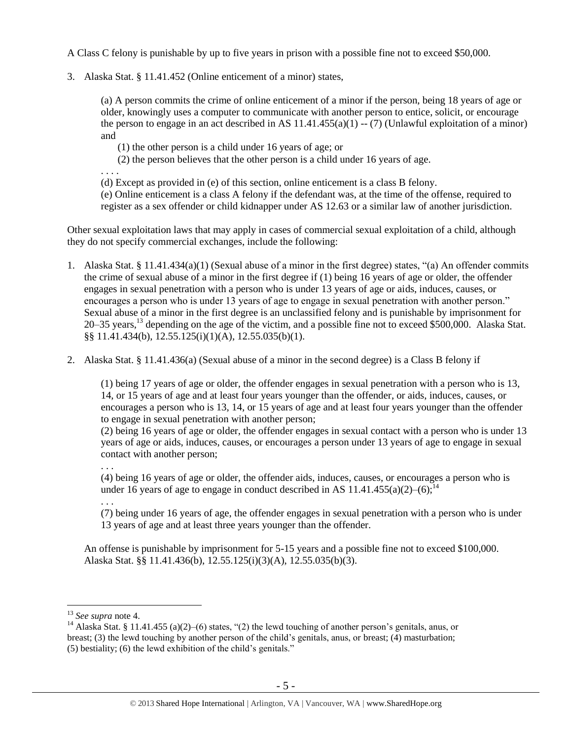A Class C felony is punishable by up to five years in prison with a possible fine not to exceed \$50,000.

3. Alaska Stat. § 11.41.452 (Online enticement of a minor) states,

(a) A person commits the crime of online enticement of a minor if the person, being 18 years of age or older, knowingly uses a computer to communicate with another person to entice, solicit, or encourage the person to engage in an act described in AS  $11.41.455(a)(1) - (7)$  (Unlawful exploitation of a minor) and

(1) the other person is a child under 16 years of age; or

(2) the person believes that the other person is a child under 16 years of age.

. . . .

(d) Except as provided in (e) of this section, online enticement is a class B felony.

(e) Online enticement is a class A felony if the defendant was, at the time of the offense, required to register as a sex offender or child kidnapper under AS 12.63 or a similar law of another jurisdiction.

Other sexual exploitation laws that may apply in cases of commercial sexual exploitation of a child, although they do not specify commercial exchanges, include the following:

- 1. Alaska Stat. § 11.41.434(a)(1) (Sexual abuse of a minor in the first degree) states, "(a) An offender commits the crime of sexual abuse of a minor in the first degree if (1) being 16 years of age or older, the offender engages in sexual penetration with a person who is under 13 years of age or aids, induces, causes, or encourages a person who is under 13 years of age to engage in sexual penetration with another person." Sexual abuse of a minor in the first degree is an unclassified felony and is punishable by imprisonment for 20–35 years, <sup>13</sup> depending on the age of the victim, and a possible fine not to exceed \$500,000. Alaska Stat. §§ 11.41.434(b), 12.55.125(i)(1)(A), 12.55.035(b)(1).
- 2. Alaska Stat. § 11.41.436(a) (Sexual abuse of a minor in the second degree) is a Class B felony if

(1) being 17 years of age or older, the offender engages in sexual penetration with a person who is 13, 14, or 15 years of age and at least four years younger than the offender, or aids, induces, causes, or encourages a person who is 13, 14, or 15 years of age and at least four years younger than the offender to engage in sexual penetration with another person;

(2) being 16 years of age or older, the offender engages in sexual contact with a person who is under 13 years of age or aids, induces, causes, or encourages a person under 13 years of age to engage in sexual contact with another person;

(4) being 16 years of age or older, the offender aids, induces, causes, or encourages a person who is under 16 years of age to engage in conduct described in AS 11.41.455(a)(2)–(6);<sup>14</sup>

. . . (7) being under 16 years of age, the offender engages in sexual penetration with a person who is under 13 years of age and at least three years younger than the offender.

An offense is punishable by imprisonment for 5-15 years and a possible fine not to exceed \$100,000. Alaska Stat. §§ 11.41.436(b), 12.55.125(i)(3)(A), 12.55.035(b)(3).

 $\overline{a}$ 

. . .

<sup>13</sup> *See supra* note [4.](#page-1-0)

<sup>&</sup>lt;sup>14</sup> Alaska Stat. § 11.41.455 (a)(2)–(6) states, "(2) the lewd touching of another person's genitals, anus, or breast; (3) the lewd touching by another person of the child's genitals, anus, or breast; (4) masturbation; (5) bestiality; (6) the lewd exhibition of the child's genitals."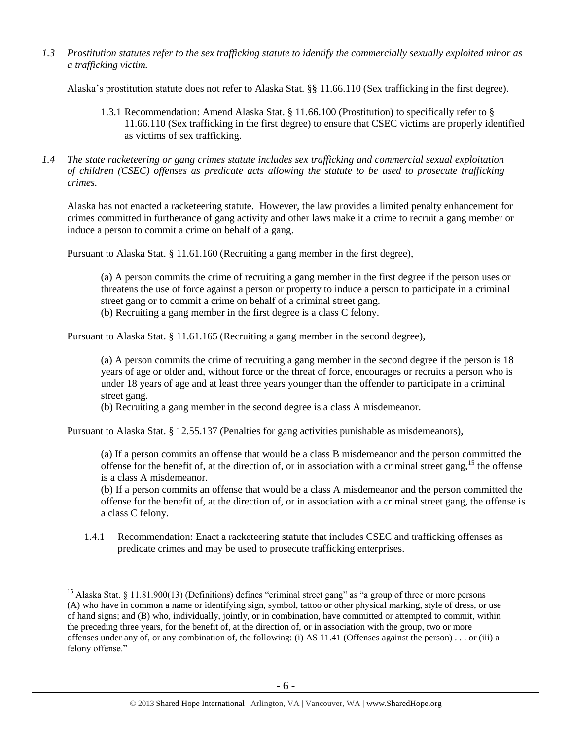*1.3 Prostitution statutes refer to the sex trafficking statute to identify the commercially sexually exploited minor as a trafficking victim.* 

Alaska's prostitution statute does not refer to Alaska Stat. §§ 11.66.110 (Sex trafficking in the first degree).

- 1.3.1 Recommendation: Amend Alaska Stat. § 11.66.100 (Prostitution) to specifically refer to § 11.66.110 (Sex trafficking in the first degree) to ensure that CSEC victims are properly identified as victims of sex trafficking.
- *1.4 The state racketeering or gang crimes statute includes sex trafficking and commercial sexual exploitation of children (CSEC) offenses as predicate acts allowing the statute to be used to prosecute trafficking crimes.*

Alaska has not enacted a racketeering statute. However, the law provides a limited penalty enhancement for crimes committed in furtherance of gang activity and other laws make it a crime to recruit a gang member or induce a person to commit a crime on behalf of a gang.

Pursuant to Alaska Stat. § 11.61.160 (Recruiting a gang member in the first degree),

(a) A person commits the crime of recruiting a gang member in the first degree if the person uses or threatens the use of force against a person or property to induce a person to participate in a criminal street gang or to commit a crime on behalf of a criminal street gang.

(b) Recruiting a gang member in the first degree is a class C felony.

Pursuant to Alaska Stat. § 11.61.165 (Recruiting a gang member in the second degree),

(a) A person commits the crime of recruiting a gang member in the second degree if the person is 18 years of age or older and, without force or the threat of force, encourages or recruits a person who is under 18 years of age and at least three years younger than the offender to participate in a criminal street gang.

(b) Recruiting a gang member in the second degree is a class A misdemeanor.

Pursuant to Alaska Stat. § 12.55.137 (Penalties for gang activities punishable as misdemeanors),

(a) If a person commits an offense that would be a class B misdemeanor and the person committed the offense for the benefit of, at the direction of, or in association with a criminal street gang,<sup>15</sup> the offense is a class A misdemeanor.

(b) If a person commits an offense that would be a class A misdemeanor and the person committed the offense for the benefit of, at the direction of, or in association with a criminal street gang, the offense is a class C felony.

1.4.1 Recommendation: Enact a racketeering statute that includes CSEC and trafficking offenses as predicate crimes and may be used to prosecute trafficking enterprises.

<sup>&</sup>lt;sup>15</sup> Alaska Stat. § 11.81.900(13) (Definitions) defines "criminal street gang" as "a group of three or more persons (A) who have in common a name or identifying sign, symbol, tattoo or other physical marking, style of dress, or use of hand signs; and (B) who, individually, jointly, or in combination, have committed or attempted to commit, within the preceding three years, for the benefit of, at the direction of, or in association with the group, two or more offenses under any of, or any combination of, the following: (i) AS 11.41 (Offenses against the person) . . . or (iii) a felony offense."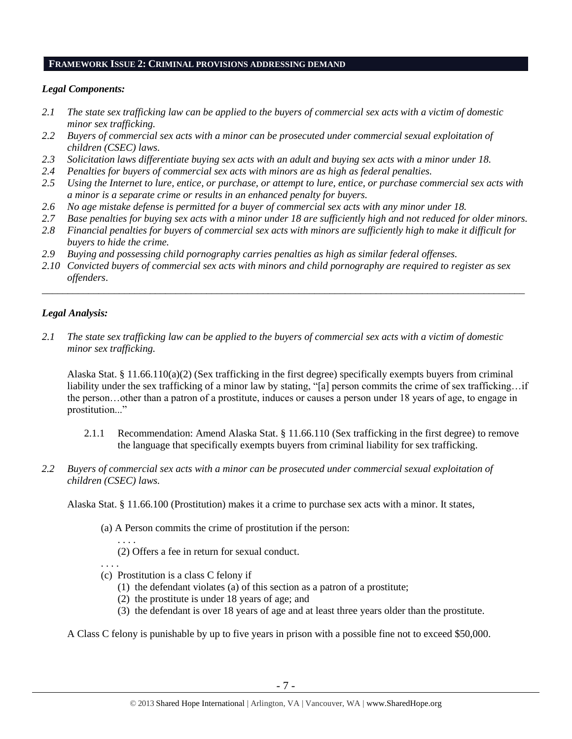## **FRAMEWORK ISSUE 2: CRIMINAL PROVISIONS ADDRESSING DEMAND**

#### *Legal Components:*

- *2.1 The state sex trafficking law can be applied to the buyers of commercial sex acts with a victim of domestic minor sex trafficking.*
- *2.2 Buyers of commercial sex acts with a minor can be prosecuted under commercial sexual exploitation of children (CSEC) laws.*
- *2.3 Solicitation laws differentiate buying sex acts with an adult and buying sex acts with a minor under 18.*
- *2.4 Penalties for buyers of commercial sex acts with minors are as high as federal penalties.*
- *2.5 Using the Internet to lure, entice, or purchase, or attempt to lure, entice, or purchase commercial sex acts with a minor is a separate crime or results in an enhanced penalty for buyers.*
- *2.6 No age mistake defense is permitted for a buyer of commercial sex acts with any minor under 18.*
- *2.7 Base penalties for buying sex acts with a minor under 18 are sufficiently high and not reduced for older minors.*
- *2.8 Financial penalties for buyers of commercial sex acts with minors are sufficiently high to make it difficult for buyers to hide the crime.*
- *2.9 Buying and possessing child pornography carries penalties as high as similar federal offenses.*
- *2.10 Convicted buyers of commercial sex acts with minors and child pornography are required to register as sex offenders*.

\_\_\_\_\_\_\_\_\_\_\_\_\_\_\_\_\_\_\_\_\_\_\_\_\_\_\_\_\_\_\_\_\_\_\_\_\_\_\_\_\_\_\_\_\_\_\_\_\_\_\_\_\_\_\_\_\_\_\_\_\_\_\_\_\_\_\_\_\_\_\_\_\_\_\_\_\_\_\_\_\_\_\_\_\_\_\_\_\_\_\_\_\_\_

#### *Legal Analysis:*

*2.1 The state sex trafficking law can be applied to the buyers of commercial sex acts with a victim of domestic minor sex trafficking.*

Alaska Stat. § 11.66.110(a)(2) (Sex trafficking in the first degree) specifically exempts buyers from criminal liability under the sex trafficking of a minor law by stating, "[a] person commits the crime of sex trafficking…if the person…other than a patron of a prostitute, induces or causes a person under 18 years of age, to engage in prostitution..."

- 2.1.1 Recommendation: Amend Alaska Stat. § 11.66.110 (Sex trafficking in the first degree) to remove the language that specifically exempts buyers from criminal liability for sex trafficking.
- *2.2 Buyers of commercial sex acts with a minor can be prosecuted under commercial sexual exploitation of children (CSEC) laws.*

Alaska Stat. § 11.66.100 (Prostitution) makes it a crime to purchase sex acts with a minor. It states,

(a) A Person commits the crime of prostitution if the person:

. . . . (2) Offers a fee in return for sexual conduct.

. . . .

- (c) Prostitution is a class C felony if
	- (1) the defendant violates (a) of this section as a patron of a prostitute;
	- (2) the prostitute is under 18 years of age; and
	- (3) the defendant is over 18 years of age and at least three years older than the prostitute.

A Class C felony is punishable by up to five years in prison with a possible fine not to exceed \$50,000.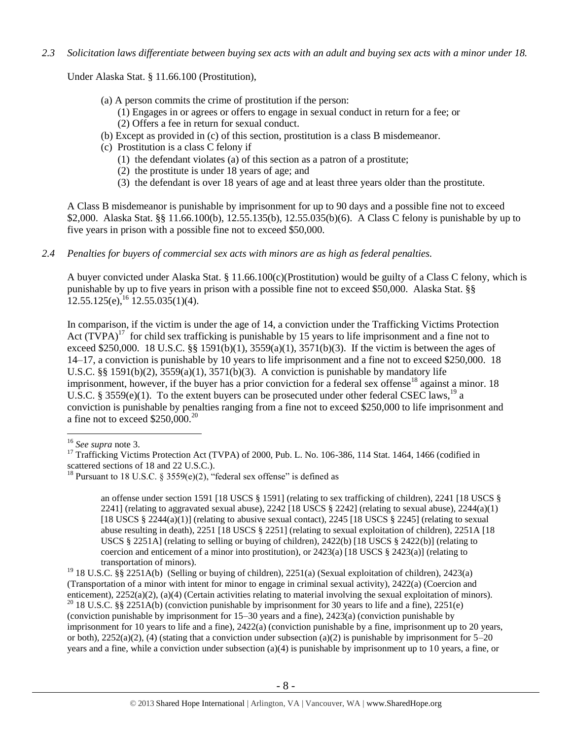*2.3 Solicitation laws differentiate between buying sex acts with an adult and buying sex acts with a minor under 18.*

Under Alaska Stat. § 11.66.100 (Prostitution),

- (a) A person commits the crime of prostitution if the person:
	- (1) Engages in or agrees or offers to engage in sexual conduct in return for a fee; or
	- (2) Offers a fee in return for sexual conduct.
- (b) Except as provided in (c) of this section, prostitution is a class B misdemeanor.
- (c) Prostitution is a class C felony if
	- (1) the defendant violates (a) of this section as a patron of a prostitute;
	- (2) the prostitute is under 18 years of age; and
	- (3) the defendant is over 18 years of age and at least three years older than the prostitute.

A Class B misdemeanor is punishable by imprisonment for up to 90 days and a possible fine not to exceed \$2,000. Alaska Stat. §§ 11.66.100(b), 12.55.135(b), 12.55.035(b)(6). A Class C felony is punishable by up to five years in prison with a possible fine not to exceed \$50,000.

*2.4 Penalties for buyers of commercial sex acts with minors are as high as federal penalties.*

A buyer convicted under Alaska Stat. § 11.66.100(c)(Prostitution) would be guilty of a Class C felony, which is punishable by up to five years in prison with a possible fine not to exceed \$50,000. Alaska Stat. §§  $12.55.125(e), ^{16}12.55.035(1)(4).$ 

<span id="page-7-0"></span>In comparison, if the victim is under the age of 14, a conviction under the Trafficking Victims Protection Act  $(T\hat{V}PA)^{17}$  for child sex trafficking is punishable by 15 years to life imprisonment and a fine not to exceed \$250,000. 18 U.S.C. §§ 1591(b)(1),  $3559(a)(1)$ ,  $3571(b)(3)$ . If the victim is between the ages of 14–17, a conviction is punishable by 10 years to life imprisonment and a fine not to exceed \$250,000. 18 U.S.C. §§ 1591(b)(2),  $3559(a)(1)$ ,  $3571(b)(3)$ . A conviction is punishable by mandatory life imprisonment, however, if the buyer has a prior conviction for a federal sex offense<sup>18</sup> against a minor. 18 U.S.C. § 3559(e)(1). To the extent buyers can be prosecuted under other federal CSEC laws,<sup>19</sup> a conviction is punishable by penalties ranging from a fine not to exceed \$250,000 to life imprisonment and a fine not to exceed  $$250,000.<sup>20</sup>$ 

<span id="page-7-1"></span>an offense under section 1591 [18 USCS § 1591] (relating to sex trafficking of children), 2241 [18 USCS § 2241] (relating to aggravated sexual abuse),  $2242$  [18 USCS § 2242] (relating to sexual abuse),  $2244(a)(1)$ [18 USCS  $\S 2244(a)(1)$ ] (relating to abusive sexual contact), 2245 [18 USCS  $\S 2245$ ] (relating to sexual abuse resulting in death), 2251 [18 USCS § 2251] (relating to sexual exploitation of children), 2251A [18 USCS § 2251A] (relating to selling or buying of children), 2422(b) [18 USCS § 2422(b)] (relating to coercion and enticement of a minor into prostitution), or  $2423(a)$  [18 USCS §  $2423(a)$ ] (relating to transportation of minors).

 $\overline{a}$ <sup>16</sup> *See supra* note [3.](#page-1-1)

<sup>&</sup>lt;sup>17</sup> Trafficking Victims Protection Act (TVPA) of 2000, Pub. L. No. 106-386, 114 Stat. 1464, 1466 (codified in scattered sections of 18 and 22 U.S.C.).

<sup>&</sup>lt;sup>18</sup> Pursuant to 18 U.S.C. § 3559(e)(2), "federal sex offense" is defined as

<sup>&</sup>lt;sup>19</sup> 18 U.S.C. §§ 2251A(b) (Selling or buying of children), 2251(a) (Sexual exploitation of children), 2423(a) (Transportation of a minor with intent for minor to engage in criminal sexual activity), 2422(a) (Coercion and enticement), 2252(a)(2), (a)(4) (Certain activities relating to material involving the sexual exploitation of minors). <sup>20</sup> 18 U.S.C. §§ 2251A(b) (conviction punishable by imprisonment for 30 years to life and a fine), 2251(e) (conviction punishable by imprisonment for 15–30 years and a fine), 2423(a) (conviction punishable by imprisonment for 10 years to life and a fine), 2422(a) (conviction punishable by a fine, imprisonment up to 20 years, or both),  $2252(a)(2)$ , (4) (stating that a conviction under subsection (a)(2) is punishable by imprisonment for  $5-20$ years and a fine, while a conviction under subsection (a)(4) is punishable by imprisonment up to 10 years, a fine, or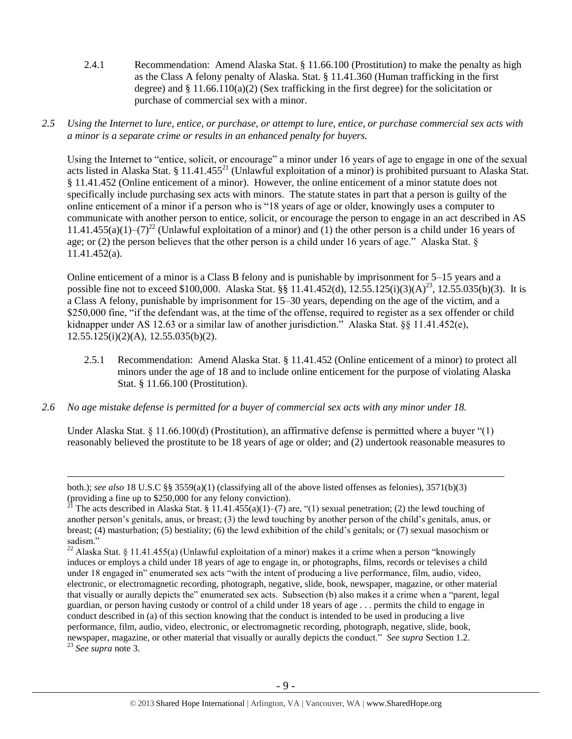- 2.4.1 Recommendation: Amend Alaska Stat. § 11.66.100 (Prostitution) to make the penalty as high as the Class A felony penalty of Alaska. Stat. § 11.41.360 (Human trafficking in the first degree) and  $\S 11.66.110(a)(2)$  (Sex trafficking in the first degree) for the solicitation or purchase of commercial sex with a minor.
- *2.5 Using the Internet to lure, entice, or purchase, or attempt to lure, entice, or purchase commercial sex acts with a minor is a separate crime or results in an enhanced penalty for buyers.*

Using the Internet to "entice, solicit, or encourage" a minor under 16 years of age to engage in one of the sexual acts listed in Alaska Stat. § 11.41.455<sup>21</sup> (Unlawful exploitation of a minor) is prohibited pursuant to Alaska Stat. § 11.41.452 (Online enticement of a minor). However, the online enticement of a minor statute does not specifically include purchasing sex acts with minors. The statute states in part that a person is guilty of the online enticement of a minor if a person who is "18 years of age or older, knowingly uses a computer to communicate with another person to entice, solicit, or encourage the person to engage in an act described in AS 11.41.455(a)(1)–(7)<sup>22</sup> (Unlawful exploitation of a minor) and (1) the other person is a child under 16 years of age; or (2) the person believes that the other person is a child under 16 years of age." Alaska Stat. § 11.41.452(a).

Online enticement of a minor is a Class B felony and is punishable by imprisonment for 5–15 years and a possible fine not to exceed \$100,000. Alaska Stat. §§ 11.41.452(d), 12.55.125(i)(3)(A)<sup>23</sup>, 12.55.035(b)(3). It is a Class A felony, punishable by imprisonment for 15–30 years, depending on the age of the victim, and a \$250,000 fine, "if the defendant was, at the time of the offense, required to register as a sex offender or child kidnapper under AS 12.63 or a similar law of another jurisdiction.<sup>"</sup> Alaska Stat. §§ 11.41.452(e),  $12.55.125(i)(2)(A), 12.55.035(b)(2).$ 

- 2.5.1 Recommendation: Amend Alaska Stat. § 11.41.452 (Online enticement of a minor) to protect all minors under the age of 18 and to include online enticement for the purpose of violating Alaska Stat. § 11.66.100 (Prostitution).
- *2.6 No age mistake defense is permitted for a buyer of commercial sex acts with any minor under 18.*

 $\overline{a}$ 

Under Alaska Stat. § 11.66.100(d) (Prostitution), an affirmative defense is permitted where a buyer "(1) reasonably believed the prostitute to be 18 years of age or older; and (2) undertook reasonable measures to

both.); *see also* 18 U.S.C §§ 3559(a)(1) (classifying all of the above listed offenses as felonies), 3571(b)(3) (providing a fine up to \$250,000 for any felony conviction).

<sup>&</sup>lt;sup>21</sup> The acts described in Alaska Stat. § 11.41.455(a)(1)–(7) are, "(1) sexual penetration; (2) the lewd touching of another person's genitals, anus, or breast; (3) the lewd touching by another person of the child's genitals, anus, or breast; (4) masturbation; (5) bestiality; (6) the lewd exhibition of the child's genitals; or (7) sexual masochism or sadism."

<sup>&</sup>lt;sup>22</sup> Alaska Stat. § 11.41.455(a) (Unlawful exploitation of a minor) makes it a crime when a person "knowingly induces or employs a child under 18 years of age to engage in, or photographs, films, records or televises a child under 18 engaged in" enumerated sex acts "with the intent of producing a live performance, film, audio, video, electronic, or electromagnetic recording, photograph, negative, slide, book, newspaper, magazine, or other material that visually or aurally depicts the" enumerated sex acts. Subsection (b) also makes it a crime when a "parent, legal guardian, or person having custody or control of a child under 18 years of age . . . permits the child to engage in conduct described in (a) of this section knowing that the conduct is intended to be used in producing a live performance, film, audio, video, electronic, or electromagnetic recording, photograph, negative, slide, book, newspaper, magazine, or other material that visually or aurally depicts the conduct." *See supra* Section 1.2. <sup>23</sup> *See supra* note [3.](#page-1-1)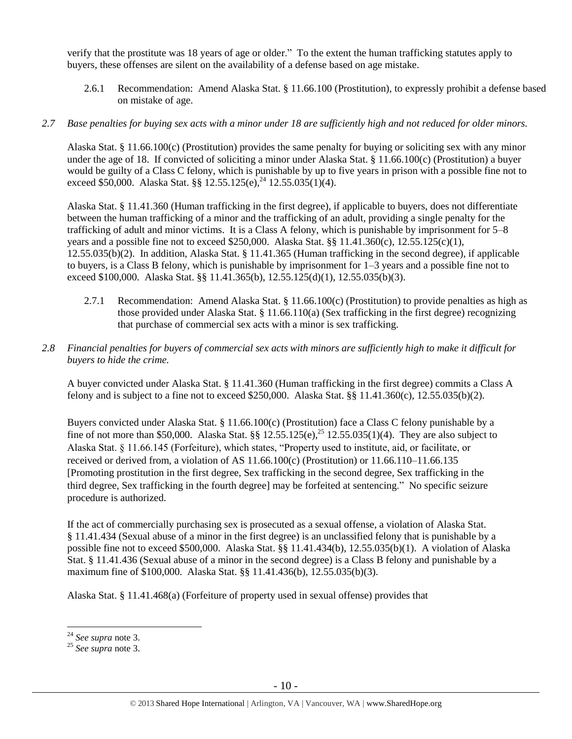verify that the prostitute was 18 years of age or older." To the extent the human trafficking statutes apply to buyers, these offenses are silent on the availability of a defense based on age mistake.

2.6.1 Recommendation: Amend Alaska Stat. § 11.66.100 (Prostitution), to expressly prohibit a defense based on mistake of age.

# *2.7 Base penalties for buying sex acts with a minor under 18 are sufficiently high and not reduced for older minors.*

Alaska Stat. § 11.66.100(c) (Prostitution) provides the same penalty for buying or soliciting sex with any minor under the age of 18. If convicted of soliciting a minor under Alaska Stat. § 11.66.100(c) (Prostitution) a buyer would be guilty of a Class C felony, which is punishable by up to five years in prison with a possible fine not to exceed \$50,000. Alaska Stat. §§ 12.55.125(e),<sup>24</sup> 12.55.035(1)(4).

Alaska Stat. § 11.41.360 (Human trafficking in the first degree), if applicable to buyers, does not differentiate between the human trafficking of a minor and the trafficking of an adult, providing a single penalty for the trafficking of adult and minor victims. It is a Class A felony, which is punishable by imprisonment for 5–8 years and a possible fine not to exceed \$250,000. Alaska Stat. §§ 11.41.360(c), 12.55.125(c)(1), 12.55.035(b)(2). In addition, Alaska Stat. § 11.41.365 (Human trafficking in the second degree), if applicable to buyers, is a Class B felony, which is punishable by imprisonment for 1–3 years and a possible fine not to exceed \$100,000. Alaska Stat. §§ 11.41.365(b), 12.55.125(d)(1), 12.55.035(b)(3).

- 2.7.1 Recommendation: Amend Alaska Stat. § 11.66.100(c) (Prostitution) to provide penalties as high as those provided under Alaska Stat. § 11.66.110(a) (Sex trafficking in the first degree) recognizing that purchase of commercial sex acts with a minor is sex trafficking.
- *2.8 Financial penalties for buyers of commercial sex acts with minors are sufficiently high to make it difficult for buyers to hide the crime.*

A buyer convicted under Alaska Stat. § 11.41.360 (Human trafficking in the first degree) commits a Class A felony and is subject to a fine not to exceed \$250,000. Alaska Stat. §§ 11.41.360(c), 12.55.035(b)(2).

Buyers convicted under Alaska Stat. § 11.66.100(c) (Prostitution) face a Class C felony punishable by a fine of not more than \$50,000. Alaska Stat.  $\S$  12.55.125(e),<sup>25</sup> 12.55.035(1)(4). They are also subject to Alaska Stat. § 11.66.145 (Forfeiture), which states, "Property used to institute, aid, or facilitate, or received or derived from, a violation of AS 11.66.100(c) (Prostitution) or 11.66.110–11.66.135 [Promoting prostitution in the first degree, Sex trafficking in the second degree, Sex trafficking in the third degree, Sex trafficking in the fourth degree] may be forfeited at sentencing." No specific seizure procedure is authorized.

If the act of commercially purchasing sex is prosecuted as a sexual offense, a violation of Alaska Stat. § 11.41.434 (Sexual abuse of a minor in the first degree) is an unclassified felony that is punishable by a possible fine not to exceed \$500,000. Alaska Stat. §§ 11.41.434(b), 12.55.035(b)(1). A violation of Alaska Stat. § 11.41.436 (Sexual abuse of a minor in the second degree) is a Class B felony and punishable by a maximum fine of \$100,000. Alaska Stat. §§ 11.41.436(b), 12.55.035(b)(3).

Alaska Stat. § 11.41.468(a) (Forfeiture of property used in sexual offense) provides that

<sup>24</sup> *See supra* note [3.](#page-1-1)

<sup>25</sup> *See supra* note [3.](#page-1-1)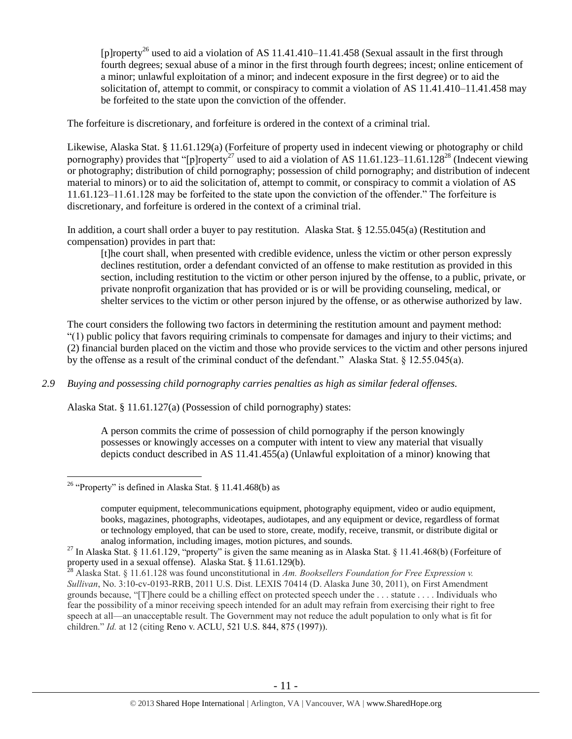<span id="page-10-0"></span>[p]roperty<sup>26</sup> used to aid a violation of AS 11.41.410–11.41.458 (Sexual assault in the first through fourth degrees; sexual abuse of a minor in the first through fourth degrees; incest; online enticement of a minor; unlawful exploitation of a minor; and indecent exposure in the first degree) or to aid the solicitation of, attempt to commit, or conspiracy to commit a violation of AS 11.41.410–11.41.458 may be forfeited to the state upon the conviction of the offender.

The forfeiture is discretionary, and forfeiture is ordered in the context of a criminal trial.

Likewise, Alaska Stat. § 11.61.129(a) (Forfeiture of property used in indecent viewing or photography or child pornography) provides that "[p]roperty<sup>27</sup> used to aid a violation of AS 11.61.123–11.61.128<sup>28</sup> (Indecent viewing or photography; distribution of child pornography; possession of child pornography; and distribution of indecent material to minors) or to aid the solicitation of, attempt to commit, or conspiracy to commit a violation of AS 11.61.123–11.61.128 may be forfeited to the state upon the conviction of the offender." The forfeiture is discretionary, and forfeiture is ordered in the context of a criminal trial.

In addition, a court shall order a buyer to pay restitution. Alaska Stat. § 12.55.045(a) (Restitution and compensation) provides in part that:

<span id="page-10-1"></span>[t]he court shall, when presented with credible evidence, unless the victim or other person expressly declines restitution, order a defendant convicted of an offense to make restitution as provided in this section, including restitution to the victim or other person injured by the offense, to a public, private, or private nonprofit organization that has provided or is or will be providing counseling, medical, or shelter services to the victim or other person injured by the offense, or as otherwise authorized by law.

The court considers the following two factors in determining the restitution amount and payment method: "(1) public policy that favors requiring criminals to compensate for damages and injury to their victims; and (2) financial burden placed on the victim and those who provide services to the victim and other persons injured by the offense as a result of the criminal conduct of the defendant." Alaska Stat. § 12.55.045(a).

*2.9 Buying and possessing child pornography carries penalties as high as similar federal offenses.*

Alaska Stat. § 11.61.127(a) (Possession of child pornography) states:

A person commits the crime of possession of child pornography if the person knowingly possesses or knowingly accesses on a computer with intent to view any material that visually depicts conduct described in AS 11.41.455(a) (Unlawful exploitation of a minor) knowing that

<sup>&</sup>lt;sup>26</sup> "Property" is defined in Alaska Stat. § 11.41.468(b) as

computer equipment, telecommunications equipment, photography equipment, video or audio equipment, books, magazines, photographs, videotapes, audiotapes, and any equipment or device, regardless of format or technology employed, that can be used to store, create, modify, receive, transmit, or distribute digital or analog information, including images, motion pictures, and sounds.

<sup>&</sup>lt;sup>27</sup> In Alaska Stat. § 11.61.129, "property" is given the same meaning as in Alaska Stat. § 11.41.468(b) (Forfeiture of property used in a sexual offense). Alaska Stat. § 11.61.129(b).

<sup>28</sup> Alaska Stat. § 11.61.128 was found unconstitutional in *Am. Booksellers Foundation for Free Expression v. Sullivan*, No. 3:10-cv-0193-RRB, 2011 U.S. Dist. LEXIS 70414 (D. Alaska June 30, 2011), on First Amendment grounds because, "[T]here could be a chilling effect on protected speech under the . . . statute . . . . Individuals who fear the possibility of a minor receiving speech intended for an adult may refrain from exercising their right to free speech at all—an unacceptable result. The Government may not reduce the adult population to only what is fit for children." *Id.* at 12 (citing Reno v. ACLU, 521 U.S. 844, 875 (1997)).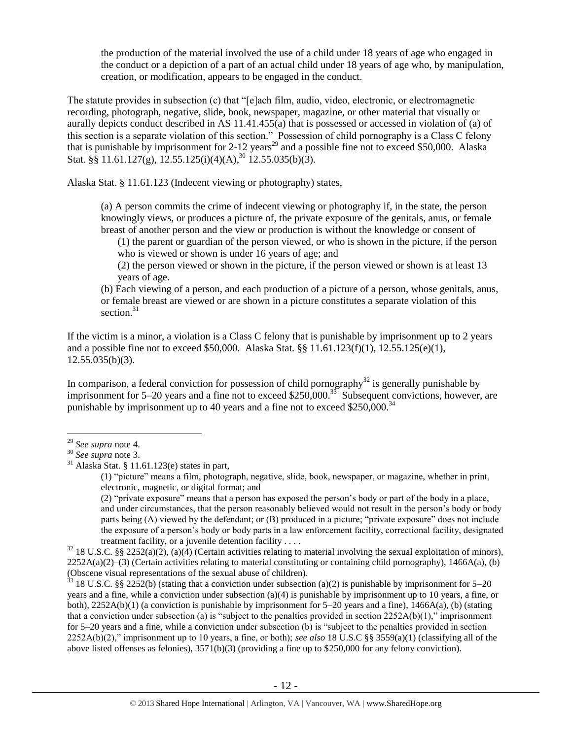the production of the material involved the use of a child under 18 years of age who engaged in the conduct or a depiction of a part of an actual child under 18 years of age who, by manipulation, creation, or modification, appears to be engaged in the conduct.

The statute provides in subsection (c) that "[e]ach film, audio, video, electronic, or electromagnetic recording, photograph, negative, slide, book, newspaper, magazine, or other material that visually or aurally depicts conduct described in AS 11.41.455(a) that is possessed or accessed in violation of (a) of this section is a separate violation of this section." Possession of child pornography is a Class C felony that is punishable by imprisonment for 2-12 years<sup>29</sup> and a possible fine not to exceed \$50,000. Alaska Stat. §§ 11.61.127(g), 12.55.125(i)(4)(A),<sup>30</sup> 12.55.035(b)(3).

Alaska Stat. § 11.61.123 (Indecent viewing or photography) states,

(a) A person commits the crime of indecent viewing or photography if, in the state, the person knowingly views, or produces a picture of, the private exposure of the genitals, anus, or female breast of another person and the view or production is without the knowledge or consent of

(1) the parent or guardian of the person viewed, or who is shown in the picture, if the person who is viewed or shown is under 16 years of age; and

(2) the person viewed or shown in the picture, if the person viewed or shown is at least 13 years of age.

<span id="page-11-0"></span>(b) Each viewing of a person, and each production of a picture of a person, whose genitals, anus, or female breast are viewed or are shown in a picture constitutes a separate violation of this section. $31$ 

If the victim is a minor, a violation is a Class C felony that is punishable by imprisonment up to 2 years and a possible fine not to exceed \$50,000. Alaska Stat. §§ 11.61.123(f)(1), 12.55.125(e)(1), 12.55.035(b)(3).

In comparison, a federal conviction for possession of child pornography<sup>32</sup> is generally punishable by imprisonment for 5–20 years and a fine not to exceed \$250,000.<sup>33</sup> Subsequent convictions, however, are punishable by imprisonment up to 40 years and a fine not to exceed  $$250,000.<sup>34</sup>$ 

(1) "picture" means a film, photograph, negative, slide, book, newspaper, or magazine, whether in print, electronic, magnetic, or digital format; and

(2) "private exposure" means that a person has exposed the person's body or part of the body in a place, and under circumstances, that the person reasonably believed would not result in the person's body or body parts being (A) viewed by the defendant; or (B) produced in a picture; "private exposure" does not include the exposure of a person's body or body parts in a law enforcement facility, correctional facility, designated treatment facility, or a juvenile detention facility . . . .

 $33$  18 U.S.C. §§ 2252(b) (stating that a conviction under subsection (a)(2) is punishable by imprisonment for 5–20 years and a fine, while a conviction under subsection (a)(4) is punishable by imprisonment up to 10 years, a fine, or both), 2252A(b)(1) (a conviction is punishable by imprisonment for 5–20 years and a fine), 1466A(a), (b) (stating that a conviction under subsection (a) is "subject to the penalties provided in section  $2252A(b)(1)$ ," imprisonment for 5–20 years and a fine, while a conviction under subsection (b) is "subject to the penalties provided in section 2252A(b)(2)," imprisonment up to 10 years, a fine, or both); *see also* 18 U.S.C §§ 3559(a)(1) (classifying all of the above listed offenses as felonies), 3571(b)(3) (providing a fine up to \$250,000 for any felony conviction).

 $\overline{a}$ <sup>29</sup> *See supra* note [4.](#page-1-0)

<sup>30</sup> *See supra* note [3.](#page-1-1)

 $31$  Alaska Stat. § 11.61.123(e) states in part,

 $32$  18 U.S.C. §§ 2252(a)(2), (a)(4) (Certain activities relating to material involving the sexual exploitation of minors),  $2252A(a)(2)$ –(3) (Certain activities relating to material constituting or containing child pornography), 1466A(a), (b) (Obscene visual representations of the sexual abuse of children).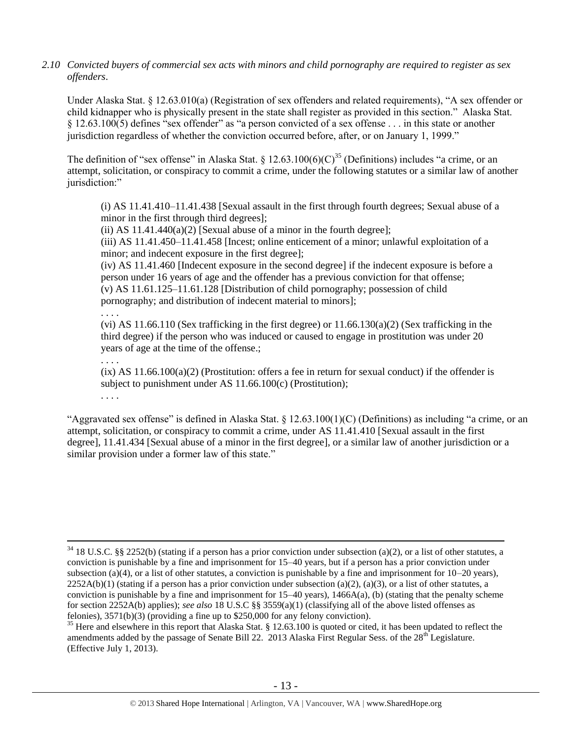*2.10 Convicted buyers of commercial sex acts with minors and child pornography are required to register as sex offenders*.

Under Alaska Stat. § 12.63.010(a) (Registration of sex offenders and related requirements), "A sex offender or child kidnapper who is physically present in the state shall register as provided in this section." Alaska Stat. § 12.63.100(5) defines "sex offender" as "a person convicted of a sex offense . . . in this state or another jurisdiction regardless of whether the conviction occurred before, after, or on January 1, 1999."

The definition of "sex offense" in Alaska Stat. § 12.63.100(6)(C)<sup>35</sup> (Definitions) includes "a crime, or an attempt, solicitation, or conspiracy to commit a crime, under the following statutes or a similar law of another jurisdiction:"

<span id="page-12-0"></span>(i) AS 11.41.410–11.41.438 [Sexual assault in the first through fourth degrees; Sexual abuse of a minor in the first through third degrees];

(ii) AS  $11.41.440(a)(2)$  [Sexual abuse of a minor in the fourth degree];

(iii) AS 11.41.450–11.41.458 [Incest; online enticement of a minor; unlawful exploitation of a minor; and indecent exposure in the first degree];

(iv) AS 11.41.460 [Indecent exposure in the second degree] if the indecent exposure is before a person under 16 years of age and the offender has a previous conviction for that offense; (v) AS 11.61.125–11.61.128 [Distribution of child pornography; possession of child pornography; and distribution of indecent material to minors];

. . . . (vi) AS  $11.66.110$  (Sex trafficking in the first degree) or  $11.66.130(a)(2)$  (Sex trafficking in the third degree) if the person who was induced or caused to engage in prostitution was under 20 years of age at the time of the offense.;

. . . .

. . . .

 $\overline{a}$ 

 $(ix)$  AS  $11.66.100(a)(2)$  (Prostitution: offers a fee in return for sexual conduct) if the offender is subject to punishment under AS 11.66.100(c) (Prostitution);

"Aggravated sex offense" is defined in Alaska Stat.  $\S$  12.63.100(1)(C) (Definitions) as including "a crime, or an attempt, solicitation, or conspiracy to commit a crime, under AS 11.41.410 [Sexual assault in the first degree], 11.41.434 [Sexual abuse of a minor in the first degree], or a similar law of another jurisdiction or a similar provision under a former law of this state."

 $34$  18 U.S.C. §§ 2252(b) (stating if a person has a prior conviction under subsection (a)(2), or a list of other statutes, a conviction is punishable by a fine and imprisonment for 15–40 years, but if a person has a prior conviction under subsection (a)(4), or a list of other statutes, a conviction is punishable by a fine and imprisonment for  $10-20$  years),  $2252A(b)(1)$  (stating if a person has a prior conviction under subsection (a)(2), (a)(3), or a list of other statutes, a conviction is punishable by a fine and imprisonment for  $15-40$  years),  $1466A(a)$ , (b) (stating that the penalty scheme for section 2252A(b) applies); *see also* 18 U.S.C §§ 3559(a)(1) (classifying all of the above listed offenses as felonies), 3571(b)(3) (providing a fine up to \$250,000 for any felony conviction).

 $35$  Here and elsewhere in this report that Alaska Stat. § 12.63.100 is quoted or cited, it has been updated to reflect the amendments added by the passage of Senate Bill 22. 2013 Alaska First Regular Sess. of the  $28<sup>th</sup>$  Legislature. (Effective July 1, 2013).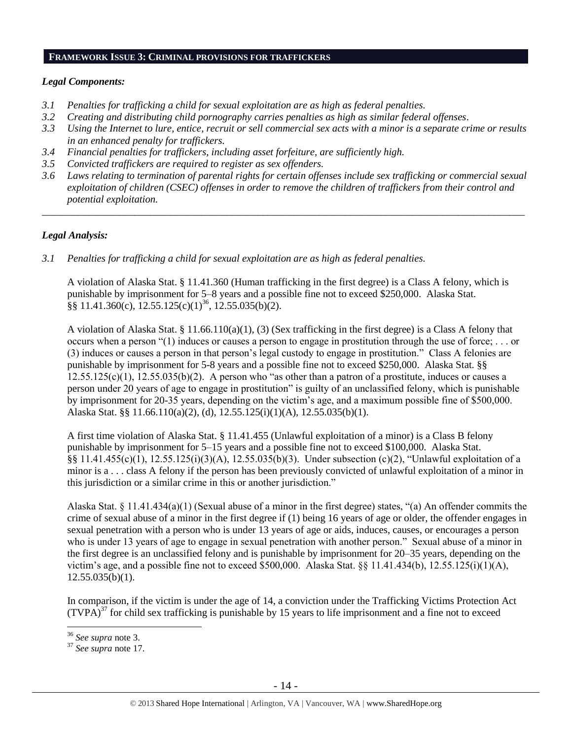#### **FRAMEWORK ISSUE 3: CRIMINAL PROVISIONS FOR TRAFFICKERS**

# *Legal Components:*

- *3.1 Penalties for trafficking a child for sexual exploitation are as high as federal penalties.*
- *3.2 Creating and distributing child pornography carries penalties as high as similar federal offenses*.
- *3.3 Using the Internet to lure, entice, recruit or sell commercial sex acts with a minor is a separate crime or results in an enhanced penalty for traffickers.*
- *3.4 Financial penalties for traffickers, including asset forfeiture, are sufficiently high.*
- *3.5 Convicted traffickers are required to register as sex offenders.*
- *3.6 Laws relating to termination of parental rights for certain offenses include sex trafficking or commercial sexual exploitation of children (CSEC) offenses in order to remove the children of traffickers from their control and potential exploitation.*

*\_\_\_\_\_\_\_\_\_\_\_\_\_\_\_\_\_\_\_\_\_\_\_\_\_\_\_\_\_\_\_\_\_\_\_\_\_\_\_\_\_\_\_\_\_\_\_\_\_\_\_\_\_\_\_\_\_\_\_\_\_\_\_\_\_\_\_\_\_\_\_\_\_\_\_\_\_\_\_\_\_\_\_\_\_\_\_\_\_\_\_\_\_\_*

# *Legal Analysis:*

*3.1 Penalties for trafficking a child for sexual exploitation are as high as federal penalties.* 

A violation of Alaska Stat. § 11.41.360 (Human trafficking in the first degree) is a Class A felony, which is punishable by imprisonment for 5–8 years and a possible fine not to exceed \$250,000. Alaska Stat.  $\S$ § 11.41.360(c), 12.55.125(c)(1)<sup>36</sup>, 12.55.035(b)(2).

A violation of Alaska Stat. § 11.66.110(a)(1), (3) (Sex trafficking in the first degree) is a Class A felony that occurs when a person "(1) induces or causes a person to engage in prostitution through the use of force; . . . or (3) induces or causes a person in that person's legal custody to engage in prostitution." Class A felonies are punishable by imprisonment for 5-8 years and a possible fine not to exceed \$250,000. Alaska Stat. §§  $12.55.125(c)(1)$ ,  $12.55.035(b)(2)$ . A person who "as other than a patron of a prostitute, induces or causes a person under 20 years of age to engage in prostitution" is guilty of an unclassified felony, which is punishable by imprisonment for 20-35 years, depending on the victim's age, and a maximum possible fine of \$500,000. Alaska Stat. §§ 11.66.110(a)(2), (d), 12.55.125(i)(1)(A), 12.55.035(b)(1).

A first time violation of Alaska Stat. § 11.41.455 (Unlawful exploitation of a minor) is a Class B felony punishable by imprisonment for 5–15 years and a possible fine not to exceed \$100,000. Alaska Stat. §§ 11.41.455(c)(1), 12.55.125(i)(3)(A), 12.55.035(b)(3). Under subsection (c)(2), "Unlawful exploitation of a minor is a . . . class A felony if the person has been previously convicted of unlawful exploitation of a minor in this jurisdiction or a similar crime in this or another jurisdiction."

Alaska Stat. § 11.41.434(a)(1) (Sexual abuse of a minor in the first degree) states, "(a) An offender commits the crime of sexual abuse of a minor in the first degree if (1) being 16 years of age or older, the offender engages in sexual penetration with a person who is under 13 years of age or aids, induces, causes, or encourages a person who is under 13 years of age to engage in sexual penetration with another person." Sexual abuse of a minor in the first degree is an unclassified felony and is punishable by imprisonment for 20–35 years, depending on the victim's age, and a possible fine not to exceed \$500,000. Alaska Stat. §§ 11.41.434(b), 12.55.125(i)(1)(A), 12.55.035(b)(1).

In comparison, if the victim is under the age of 14, a conviction under the Trafficking Victims Protection Act  $(TVPA)^{37}$  for child sex trafficking is punishable by 15 years to life imprisonment and a fine not to exceed

<sup>36</sup> *See supra* note [3.](#page-1-1)

<sup>37</sup> *See supra* note [17.](#page-7-0)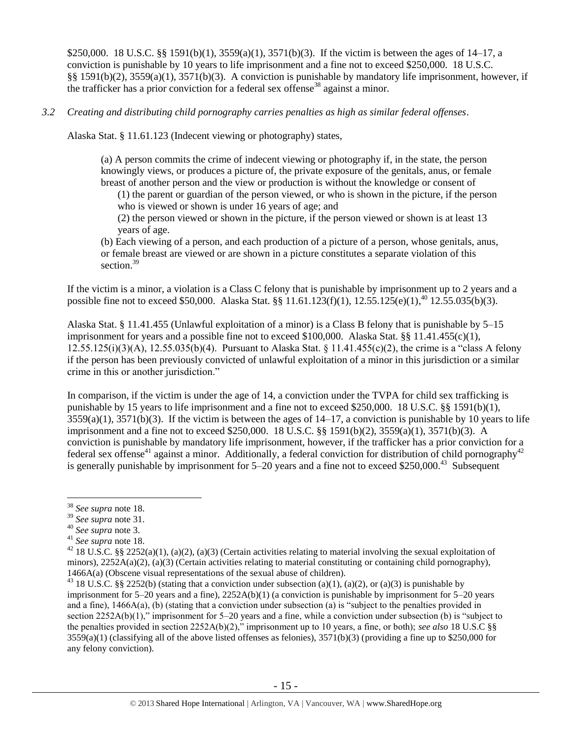\$250,000. 18 U.S.C. §§ 1591(b)(1), 3559(a)(1), 3571(b)(3). If the victim is between the ages of 14–17, a conviction is punishable by 10 years to life imprisonment and a fine not to exceed \$250,000. 18 U.S.C. §§ 1591(b)(2), 3559(a)(1), 3571(b)(3). A conviction is punishable by mandatory life imprisonment, however, if the trafficker has a prior conviction for a federal sex offense<sup>38</sup> against a minor.

## *3.2 Creating and distributing child pornography carries penalties as high as similar federal offenses*.

Alaska Stat. § 11.61.123 (Indecent viewing or photography) states,

(a) A person commits the crime of indecent viewing or photography if, in the state, the person knowingly views, or produces a picture of, the private exposure of the genitals, anus, or female breast of another person and the view or production is without the knowledge or consent of

(1) the parent or guardian of the person viewed, or who is shown in the picture, if the person who is viewed or shown is under 16 years of age; and

(2) the person viewed or shown in the picture, if the person viewed or shown is at least 13 years of age.

(b) Each viewing of a person, and each production of a picture of a person, whose genitals, anus, or female breast are viewed or are shown in a picture constitutes a separate violation of this section.<sup>39</sup>

If the victim is a minor, a violation is a Class C felony that is punishable by imprisonment up to 2 years and a possible fine not to exceed \$50,000. Alaska Stat. §§ 11.61.123(f)(1), 12.55.125(e)(1),<sup>40</sup> 12.55.035(b)(3).

Alaska Stat. § 11.41.455 (Unlawful exploitation of a minor) is a Class B felony that is punishable by 5–15 imprisonment for years and a possible fine not to exceed \$100,000. Alaska Stat. §§ 11.41.455(c)(1), 12.55.125(i)(3)(A), 12.55.035(b)(4). Pursuant to Alaska Stat. § 11.41.455(c)(2), the crime is a "class A felony if the person has been previously convicted of unlawful exploitation of a minor in this jurisdiction or a similar crime in this or another jurisdiction."

In comparison, if the victim is under the age of 14, a conviction under the TVPA for child sex trafficking is punishable by 15 years to life imprisonment and a fine not to exceed \$250,000. 18 U.S.C. §§ 1591(b)(1),  $3559(a)(1)$ ,  $3571(b)(3)$ . If the victim is between the ages of  $14-17$ , a conviction is punishable by 10 years to life imprisonment and a fine not to exceed \$250,000. 18 U.S.C. §§ 1591(b)(2), 3559(a)(1), 3571(b)(3). A conviction is punishable by mandatory life imprisonment, however, if the trafficker has a prior conviction for a federal sex offense<sup>41</sup> against a minor. Additionally, a federal conviction for distribution of child pornography<sup>42</sup> is generally punishable by imprisonment for  $5-20$  years and a fine not to exceed \$250,000.<sup>43</sup> Subsequent

 $\overline{a}$ <sup>38</sup> *See supra* note [18.](#page-7-1)

<sup>39</sup> *See supra* note [31.](#page-11-0)

<sup>40</sup> *See supra* note [3.](#page-1-1)

<sup>41</sup> *See supra* note [18.](#page-7-1)

<sup>&</sup>lt;sup>42</sup> 18 U.S.C. §§ 2252(a)(1), (a)(2), (a)(3) (Certain activities relating to material involving the sexual exploitation of minors),  $2252A(a)(2)$ ,  $(a)(3)$  (Certain activities relating to material constituting or containing child pornography), 1466A(a) (Obscene visual representations of the sexual abuse of children).

<sup>&</sup>lt;sup>43</sup> 18 U.S.C. §§ 2252(b) (stating that a conviction under subsection (a)(1), (a)(2), or (a)(3) is punishable by imprisonment for  $5-20$  years and a fine),  $2252A(b)(1)$  (a conviction is punishable by imprisonment for  $5-20$  years and a fine), 1466A(a), (b) (stating that a conviction under subsection (a) is "subject to the penalties provided in section 2252A(b)(1)," imprisonment for 5–20 years and a fine, while a conviction under subsection (b) is "subject to the penalties provided in section 2252A(b)(2)," imprisonment up to 10 years, a fine, or both); *see also* 18 U.S.C §§  $3559(a)(1)$  (classifying all of the above listed offenses as felonies),  $3571(b)(3)$  (providing a fine up to \$250,000 for any felony conviction).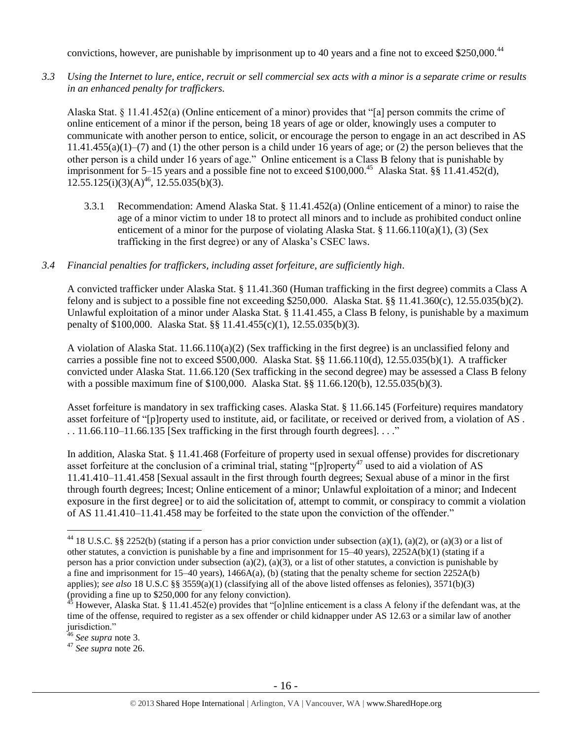convictions, however, are punishable by imprisonment up to 40 years and a fine not to exceed \$250,000.<sup>44</sup>

*3.3 Using the Internet to lure, entice, recruit or sell commercial sex acts with a minor is a separate crime or results in an enhanced penalty for traffickers.*

Alaska Stat. § 11.41.452(a) (Online enticement of a minor) provides that "[a] person commits the crime of online enticement of a minor if the person, being 18 years of age or older, knowingly uses a computer to communicate with another person to entice, solicit, or encourage the person to engage in an act described in AS  $11.41.455(a)(1)$ –(7) and (1) the other person is a child under 16 years of age; or (2) the person believes that the other person is a child under 16 years of age." Online enticement is a Class B felony that is punishable by imprisonment for 5–15 years and a possible fine not to exceed \$100,000.<sup>45</sup> Alaska Stat. §§ 11.41.452(d),  $12.55.125(i)(3)(A)<sup>46</sup>, 12.55.035(b)(3).$ 

3.3.1 Recommendation: Amend Alaska Stat. § 11.41.452(a) (Online enticement of a minor) to raise the age of a minor victim to under 18 to protect all minors and to include as prohibited conduct online enticement of a minor for the purpose of violating Alaska Stat. §  $11.66.110(a)(1)$ , (3) (Sex trafficking in the first degree) or any of Alaska's CSEC laws.

#### *3.4 Financial penalties for traffickers, including asset forfeiture, are sufficiently high*.

A convicted trafficker under Alaska Stat. § 11.41.360 (Human trafficking in the first degree) commits a Class A felony and is subject to a possible fine not exceeding \$250,000. Alaska Stat. §§ 11.41.360(c), 12.55.035(b)(2). Unlawful exploitation of a minor under Alaska Stat. § 11.41.455, a Class B felony, is punishable by a maximum penalty of \$100,000. Alaska Stat. §§ 11.41.455(c)(1), 12.55.035(b)(3).

A violation of Alaska Stat. 11.66.110(a)(2) (Sex trafficking in the first degree) is an unclassified felony and carries a possible fine not to exceed \$500,000. Alaska Stat. §§ 11.66.110(d), 12.55.035(b)(1). A trafficker convicted under Alaska Stat. 11.66.120 (Sex trafficking in the second degree) may be assessed a Class B felony with a possible maximum fine of \$100,000. Alaska Stat. §§ 11.66.120(b), 12.55.035(b)(3).

Asset forfeiture is mandatory in sex trafficking cases. Alaska Stat. § 11.66.145 (Forfeiture) requires mandatory asset forfeiture of "[p]roperty used to institute, aid, or facilitate, or received or derived from, a violation of AS .  $\ldots$  11.66.110–11.66.135 [Sex trafficking in the first through fourth degrees].  $\ldots$ "

In addition, Alaska Stat. § 11.41.468 (Forfeiture of property used in sexual offense) provides for discretionary asset forfeiture at the conclusion of a criminal trial, stating " $[p]$ roperty<sup>47</sup> used to aid a violation of AS 11.41.410–11.41.458 [Sexual assault in the first through fourth degrees; Sexual abuse of a minor in the first through fourth degrees; Incest; Online enticement of a minor; Unlawful exploitation of a minor; and Indecent exposure in the first degree] or to aid the solicitation of, attempt to commit, or conspiracy to commit a violation of AS 11.41.410–11.41.458 may be forfeited to the state upon the conviction of the offender."

 $\overline{a}$ 

<sup>47</sup> *See supra* note [26.](#page-10-0)

<sup>&</sup>lt;sup>44</sup> 18 U.S.C. §§ 2252(b) (stating if a person has a prior conviction under subsection (a)(1), (a)(2), or (a)(3) or a list of other statutes, a conviction is punishable by a fine and imprisonment for 15–40 years), 2252A(b)(1) (stating if a person has a prior conviction under subsection (a)(2), (a)(3), or a list of other statutes, a conviction is punishable by a fine and imprisonment for 15–40 years), 1466A(a), (b) (stating that the penalty scheme for section 2252A(b) applies); *see also* 18 U.S.C §§ 3559(a)(1) (classifying all of the above listed offenses as felonies), 3571(b)(3) (providing a fine up to \$250,000 for any felony conviction).

 $45$  However, Alaska Stat. § 11.41.452(e) provides that "[o]nline enticement is a class A felony if the defendant was, at the time of the offense, required to register as a sex offender or child kidnapper under AS 12.63 or a similar law of another jurisdiction."

<sup>46</sup> *See supra* note [3.](#page-1-1)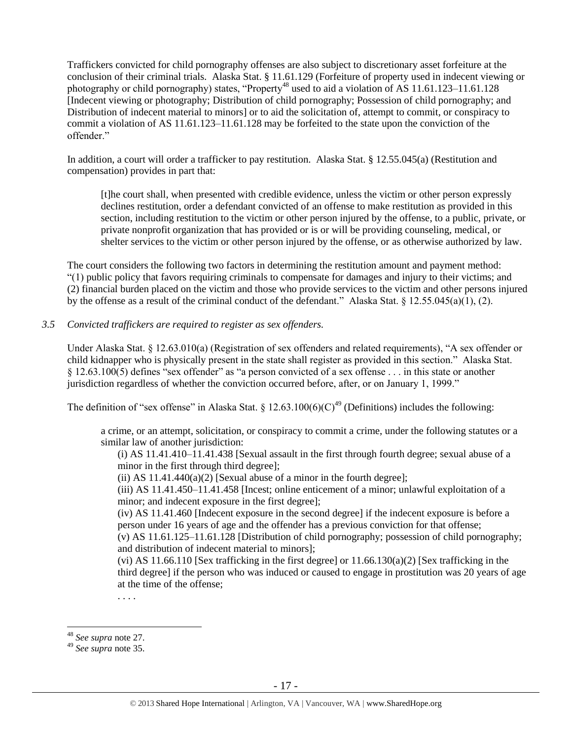Traffickers convicted for child pornography offenses are also subject to discretionary asset forfeiture at the conclusion of their criminal trials. Alaska Stat. § 11.61.129 (Forfeiture of property used in indecent viewing or photography or child pornography) states, "Property<sup>48</sup> used to aid a violation of AS 11.61.123–11.61.128 [Indecent viewing or photography; Distribution of child pornography; Possession of child pornography; and Distribution of indecent material to minors] or to aid the solicitation of, attempt to commit, or conspiracy to commit a violation of AS 11.61.123–11.61.128 may be forfeited to the state upon the conviction of the offender."

In addition, a court will order a trafficker to pay restitution. Alaska Stat. § 12.55.045(a) (Restitution and compensation) provides in part that:

[t]he court shall, when presented with credible evidence, unless the victim or other person expressly declines restitution, order a defendant convicted of an offense to make restitution as provided in this section, including restitution to the victim or other person injured by the offense, to a public, private, or private nonprofit organization that has provided or is or will be providing counseling, medical, or shelter services to the victim or other person injured by the offense, or as otherwise authorized by law.

The court considers the following two factors in determining the restitution amount and payment method: "(1) public policy that favors requiring criminals to compensate for damages and injury to their victims; and (2) financial burden placed on the victim and those who provide services to the victim and other persons injured by the offense as a result of the criminal conduct of the defendant." Alaska Stat. § 12.55.045(a)(1), (2).

## *3.5 Convicted traffickers are required to register as sex offenders.*

Under Alaska Stat. § 12.63.010(a) (Registration of sex offenders and related requirements), "A sex offender or child kidnapper who is physically present in the state shall register as provided in this section." Alaska Stat. § 12.63.100(5) defines "sex offender" as "a person convicted of a sex offense . . . in this state or another jurisdiction regardless of whether the conviction occurred before, after, or on January 1, 1999."

The definition of "sex offense" in Alaska Stat.  $\frac{12.63.100(6)(C)^{49}}{2}$  (Definitions) includes the following:

a crime, or an attempt, solicitation, or conspiracy to commit a crime, under the following statutes or a similar law of another jurisdiction:

(i) AS 11.41.410–11.41.438 [Sexual assault in the first through fourth degree; sexual abuse of a minor in the first through third degree];

(ii) AS  $11.41.440(a)(2)$  [Sexual abuse of a minor in the fourth degree];

(iii) AS 11.41.450–11.41.458 [Incest; online enticement of a minor; unlawful exploitation of a minor; and indecent exposure in the first degree];

(iv) AS 11.41.460 [Indecent exposure in the second degree] if the indecent exposure is before a person under 16 years of age and the offender has a previous conviction for that offense;

(v) AS 11.61.125–11.61.128 [Distribution of child pornography; possession of child pornography; and distribution of indecent material to minors];

(vi) AS 11.66.110 [Sex trafficking in the first degree] or  $11.66.130(a)(2)$  [Sex trafficking in the third degree] if the person who was induced or caused to engage in prostitution was 20 years of age at the time of the offense;

. . . .

 $\overline{a}$ <sup>48</sup> *See supra* note [27.](#page-10-1) 

<sup>49</sup> *See supra* note [35.](#page-12-0)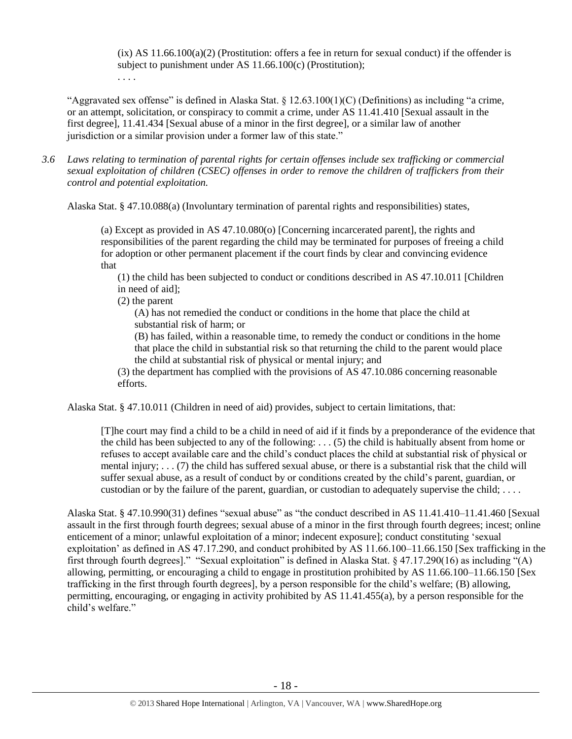$(ix)$  AS  $11.66.100(a)(2)$  (Prostitution: offers a fee in return for sexual conduct) if the offender is subject to punishment under AS 11.66.100(c) (Prostitution); . . . .

"Aggravated sex offense" is defined in Alaska Stat.  $\S 12.63.100(1)(C)$  (Definitions) as including "a crime, or an attempt, solicitation, or conspiracy to commit a crime, under AS 11.41.410 [Sexual assault in the first degree], 11.41.434 [Sexual abuse of a minor in the first degree], or a similar law of another jurisdiction or a similar provision under a former law of this state."

*3.6 Laws relating to termination of parental rights for certain offenses include sex trafficking or commercial sexual exploitation of children (CSEC) offenses in order to remove the children of traffickers from their control and potential exploitation.* 

Alaska Stat. § 47.10.088(a) (Involuntary termination of parental rights and responsibilities) states,

(a) Except as provided in AS 47.10.080(o) [Concerning incarcerated parent], the rights and responsibilities of the parent regarding the child may be terminated for purposes of freeing a child for adoption or other permanent placement if the court finds by clear and convincing evidence that

(1) the child has been subjected to conduct or conditions described in AS 47.10.011 [Children in need of aid];

(2) the parent

(A) has not remedied the conduct or conditions in the home that place the child at substantial risk of harm; or

(B) has failed, within a reasonable time, to remedy the conduct or conditions in the home that place the child in substantial risk so that returning the child to the parent would place the child at substantial risk of physical or mental injury; and

(3) the department has complied with the provisions of AS 47.10.086 concerning reasonable efforts.

Alaska Stat. § 47.10.011 (Children in need of aid) provides, subject to certain limitations, that:

[T]he court may find a child to be a child in need of aid if it finds by a preponderance of the evidence that the child has been subjected to any of the following: . . . (5) the child is habitually absent from home or refuses to accept available care and the child's conduct places the child at substantial risk of physical or mental injury; . . . (7) the child has suffered sexual abuse, or there is a substantial risk that the child will suffer sexual abuse, as a result of conduct by or conditions created by the child's parent, guardian, or custodian or by the failure of the parent, guardian, or custodian to adequately supervise the child; . . . .

Alaska Stat. § 47.10.990(31) defines "sexual abuse" as "the conduct described in AS 11.41.410–11.41.460 [Sexual assault in the first through fourth degrees; sexual abuse of a minor in the first through fourth degrees; incest; online enticement of a minor; unlawful exploitation of a minor; indecent exposure]; conduct constituting 'sexual exploitation' as defined in AS 47.17.290, and conduct prohibited by AS 11.66.100–11.66.150 [Sex trafficking in the first through fourth degrees]." "Sexual exploitation" is defined in Alaska Stat. § 47.17.290(16) as including "(A) allowing, permitting, or encouraging a child to engage in prostitution prohibited by AS 11.66.100–11.66.150 [Sex trafficking in the first through fourth degrees], by a person responsible for the child's welfare; (B) allowing, permitting, encouraging, or engaging in activity prohibited by AS 11.41.455(a), by a person responsible for the child's welfare."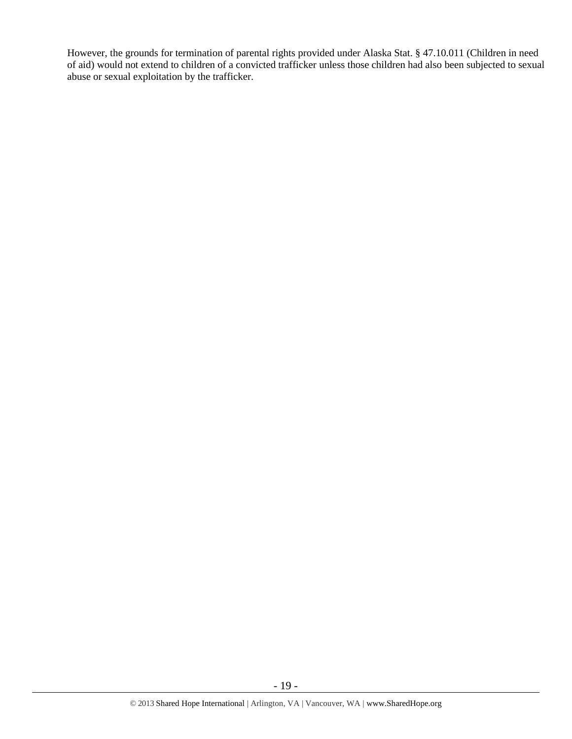However, the grounds for termination of parental rights provided under Alaska Stat. § 47.10.011 (Children in need of aid) would not extend to children of a convicted trafficker unless those children had also been subjected to sexual abuse or sexual exploitation by the trafficker.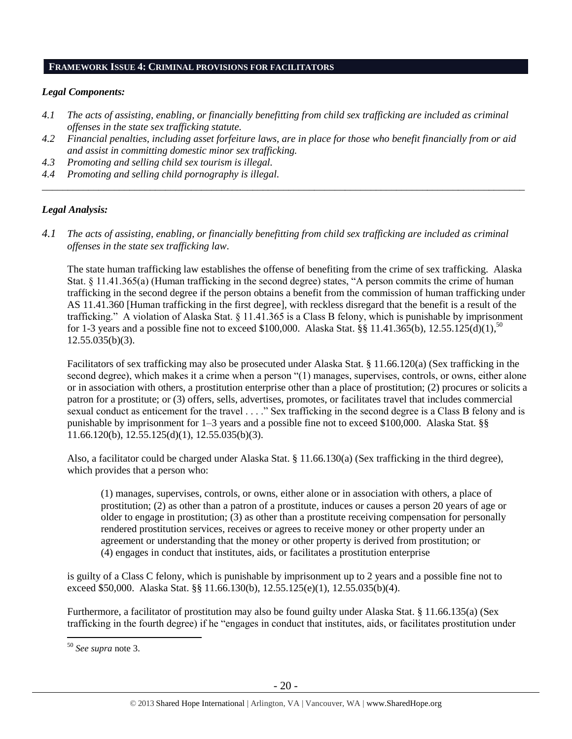## **FRAMEWORK ISSUE 4: CRIMINAL PROVISIONS FOR FACILITATORS**

## *Legal Components:*

- *4.1 The acts of assisting, enabling, or financially benefitting from child sex trafficking are included as criminal offenses in the state sex trafficking statute.*
- *4.2 Financial penalties, including asset forfeiture laws, are in place for those who benefit financially from or aid and assist in committing domestic minor sex trafficking.*

*\_\_\_\_\_\_\_\_\_\_\_\_\_\_\_\_\_\_\_\_\_\_\_\_\_\_\_\_\_\_\_\_\_\_\_\_\_\_\_\_\_\_\_\_\_\_\_\_\_\_\_\_\_\_\_\_\_\_\_\_\_\_\_\_\_\_\_\_\_\_\_\_\_\_\_\_\_\_\_\_\_\_\_\_\_\_\_\_\_\_\_\_\_\_*

- *4.3 Promoting and selling child sex tourism is illegal.*
- *4.4 Promoting and selling child pornography is illegal.*

# *Legal Analysis:*

*4.1 The acts of assisting, enabling, or financially benefitting from child sex trafficking are included as criminal offenses in the state sex trafficking law*.

The state human trafficking law establishes the offense of benefiting from the crime of sex trafficking. Alaska Stat. § 11.41.365(a) (Human trafficking in the second degree) states, "A person commits the crime of human trafficking in the second degree if the person obtains a benefit from the commission of human trafficking under AS 11.41.360 [Human trafficking in the first degree], with reckless disregard that the benefit is a result of the trafficking." A violation of Alaska Stat. § 11.41.365 is a Class B felony, which is punishable by imprisonment for 1-3 years and a possible fine not to exceed \$100,000. Alaska Stat. §§ 11.41.365(b), 12.55.125(d)(1),<sup>50</sup>  $12.55.035(b)(3)$ .

Facilitators of sex trafficking may also be prosecuted under Alaska Stat. § 11.66.120(a) (Sex trafficking in the second degree), which makes it a crime when a person "(1) manages, supervises, controls, or owns, either alone or in association with others, a prostitution enterprise other than a place of prostitution; (2) procures or solicits a patron for a prostitute; or (3) offers, sells, advertises, promotes, or facilitates travel that includes commercial sexual conduct as enticement for the travel . . . ." Sex trafficking in the second degree is a Class B felony and is punishable by imprisonment for 1–3 years and a possible fine not to exceed \$100,000. Alaska Stat. §§ 11.66.120(b), 12.55.125(d)(1), 12.55.035(b)(3).

Also, a facilitator could be charged under Alaska Stat. § 11.66.130(a) (Sex trafficking in the third degree), which provides that a person who:

(1) manages, supervises, controls, or owns, either alone or in association with others, a place of prostitution; (2) as other than a patron of a prostitute, induces or causes a person 20 years of age or older to engage in prostitution; (3) as other than a prostitute receiving compensation for personally rendered prostitution services, receives or agrees to receive money or other property under an agreement or understanding that the money or other property is derived from prostitution; or (4) engages in conduct that institutes, aids, or facilitates a prostitution enterprise

is guilty of a Class C felony, which is punishable by imprisonment up to 2 years and a possible fine not to exceed \$50,000. Alaska Stat. §§ 11.66.130(b), 12.55.125(e)(1), 12.55.035(b)(4).

Furthermore, a facilitator of prostitution may also be found guilty under Alaska Stat. § 11.66.135(a) (Sex trafficking in the fourth degree) if he "engages in conduct that institutes, aids, or facilitates prostitution under

<sup>50</sup> *See supra* note [3.](#page-1-1)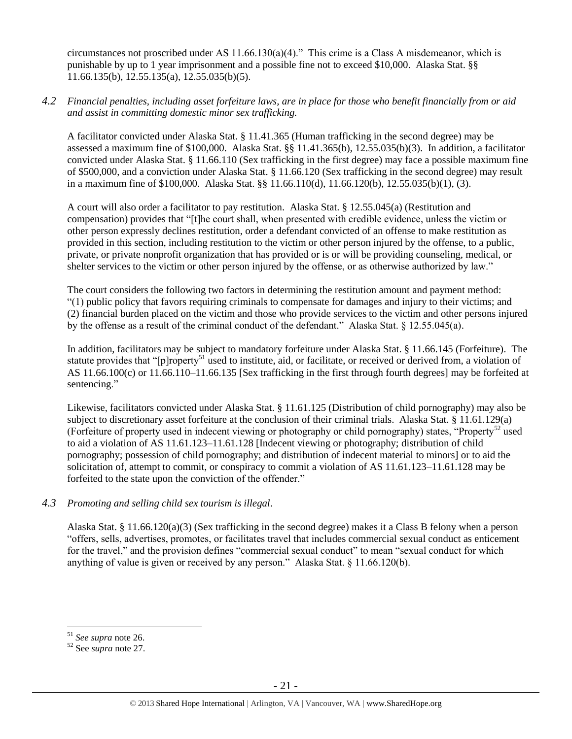circumstances not proscribed under AS 11.66.130(a)(4)." This crime is a Class A misdemeanor, which is punishable by up to 1 year imprisonment and a possible fine not to exceed \$10,000. Alaska Stat. §§ 11.66.135(b), 12.55.135(a), 12.55.035(b)(5).

# *4.2 Financial penalties, including asset forfeiture laws, are in place for those who benefit financially from or aid and assist in committing domestic minor sex trafficking.*

A facilitator convicted under Alaska Stat. § 11.41.365 (Human trafficking in the second degree) may be assessed a maximum fine of \$100,000. Alaska Stat. §§ 11.41.365(b), 12.55.035(b)(3). In addition, a facilitator convicted under Alaska Stat. § 11.66.110 (Sex trafficking in the first degree) may face a possible maximum fine of \$500,000, and a conviction under Alaska Stat. § 11.66.120 (Sex trafficking in the second degree) may result in a maximum fine of \$100,000. Alaska Stat. §§ 11.66.110(d), 11.66.120(b), 12.55.035(b)(1), (3).

A court will also order a facilitator to pay restitution. Alaska Stat. § 12.55.045(a) (Restitution and compensation) provides that "[t]he court shall, when presented with credible evidence, unless the victim or other person expressly declines restitution, order a defendant convicted of an offense to make restitution as provided in this section, including restitution to the victim or other person injured by the offense, to a public, private, or private nonprofit organization that has provided or is or will be providing counseling, medical, or shelter services to the victim or other person injured by the offense, or as otherwise authorized by law."

The court considers the following two factors in determining the restitution amount and payment method: "(1) public policy that favors requiring criminals to compensate for damages and injury to their victims; and (2) financial burden placed on the victim and those who provide services to the victim and other persons injured by the offense as a result of the criminal conduct of the defendant." Alaska Stat. § 12.55.045(a).

In addition, facilitators may be subject to mandatory forfeiture under Alaska Stat. § 11.66.145 (Forfeiture). The statute provides that "[p]roperty<sup>51</sup> used to institute, aid, or facilitate, or received or derived from, a violation of AS 11.66.100(c) or 11.66.110–11.66.135 [Sex trafficking in the first through fourth degrees] may be forfeited at sentencing."

Likewise, facilitators convicted under Alaska Stat. § 11.61.125 (Distribution of child pornography) may also be subject to discretionary asset forfeiture at the conclusion of their criminal trials. Alaska Stat. § 11.61.129(a) (Forfeiture of property used in indecent viewing or photography or child pornography) states, "Property<sup>52</sup> used to aid a violation of AS 11.61.123–11.61.128 [Indecent viewing or photography; distribution of child pornography; possession of child pornography; and distribution of indecent material to minors] or to aid the solicitation of, attempt to commit, or conspiracy to commit a violation of AS 11.61.123–11.61.128 may be forfeited to the state upon the conviction of the offender."

# *4.3 Promoting and selling child sex tourism is illegal*.

Alaska Stat. § 11.66.120(a)(3) (Sex trafficking in the second degree) makes it a Class B felony when a person "offers, sells, advertises, promotes, or facilitates travel that includes commercial sexual conduct as enticement for the travel," and the provision defines "commercial sexual conduct" to mean "sexual conduct for which anything of value is given or received by any person." Alaska Stat. § 11.66.120(b).

<sup>51</sup> *See supra* note [26.](#page-10-0)

<sup>52</sup> See *supra* note [27.](#page-10-1)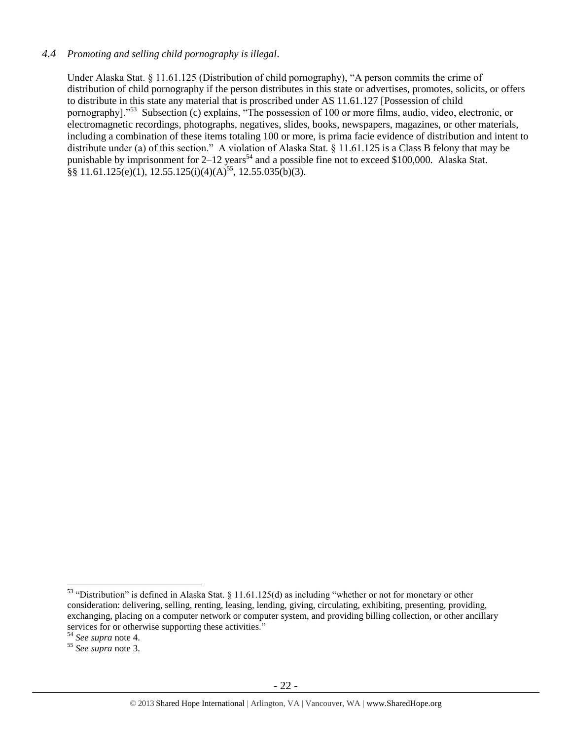# *4.4 Promoting and selling child pornography is illegal*.

Under Alaska Stat. § 11.61.125 (Distribution of child pornography), "A person commits the crime of distribution of child pornography if the person distributes in this state or advertises, promotes, solicits, or offers to distribute in this state any material that is proscribed under AS 11.61.127 [Possession of child pornography]."<sup>53</sup> Subsection (c) explains, "The possession of 100 or more films, audio, video, electronic, or electromagnetic recordings, photographs, negatives, slides, books, newspapers, magazines, or other materials, including a combination of these items totaling 100 or more, is prima facie evidence of distribution and intent to distribute under (a) of this section." A violation of Alaska Stat. § 11.61.125 is a Class B felony that may be punishable by imprisonment for  $2-12$  years<sup>54</sup> and a possible fine not to exceed \$100,000. Alaska Stat.  $\frac{88}{11.61.125(e)(1)}$ , 12.55.125(i)(4)(A)<sup>55</sup>, 12.55.035(b)(3).

<sup>53</sup> "Distribution" is defined in Alaska Stat. § 11.61.125(d) as including "whether or not for monetary or other consideration: delivering, selling, renting, leasing, lending, giving, circulating, exhibiting, presenting, providing, exchanging, placing on a computer network or computer system, and providing billing collection, or other ancillary services for or otherwise supporting these activities."

<sup>54</sup> *See supra* note [4.](#page-1-0)

<sup>55</sup> *See supra* note [3.](#page-1-1)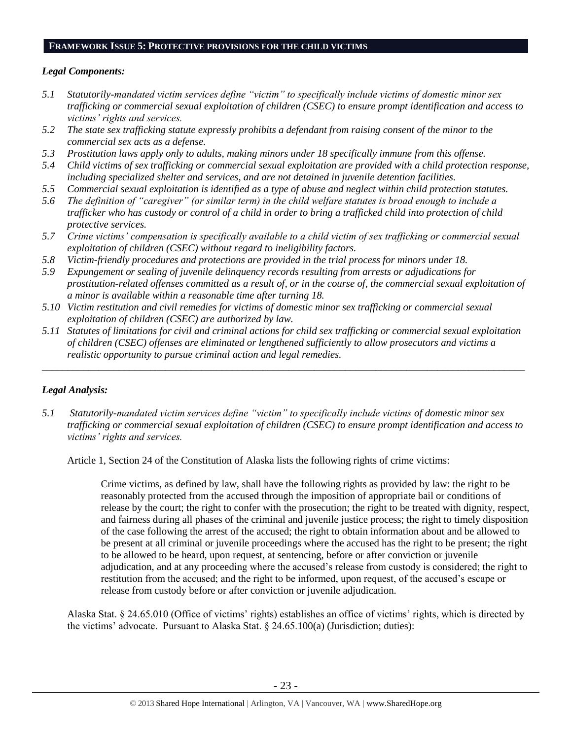## **FRAMEWORK ISSUE 5: PROTECTIVE PROVISIONS FOR THE CHILD VICTIMS**

## *Legal Components:*

- *5.1 Statutorily-mandated victim services define "victim" to specifically include victims of domestic minor sex trafficking or commercial sexual exploitation of children (CSEC) to ensure prompt identification and access to victims' rights and services.*
- *5.2 The state sex trafficking statute expressly prohibits a defendant from raising consent of the minor to the commercial sex acts as a defense.*
- *5.3 Prostitution laws apply only to adults, making minors under 18 specifically immune from this offense.*
- *5.4 Child victims of sex trafficking or commercial sexual exploitation are provided with a child protection response, including specialized shelter and services, and are not detained in juvenile detention facilities.*
- *5.5 Commercial sexual exploitation is identified as a type of abuse and neglect within child protection statutes.*
- *5.6 The definition of "caregiver" (or similar term) in the child welfare statutes is broad enough to include a trafficker who has custody or control of a child in order to bring a trafficked child into protection of child protective services.*
- *5.7 Crime victims' compensation is specifically available to a child victim of sex trafficking or commercial sexual exploitation of children (CSEC) without regard to ineligibility factors.*
- *5.8 Victim-friendly procedures and protections are provided in the trial process for minors under 18.*
- *5.9 Expungement or sealing of juvenile delinquency records resulting from arrests or adjudications for prostitution-related offenses committed as a result of, or in the course of, the commercial sexual exploitation of a minor is available within a reasonable time after turning 18.*
- *5.10 Victim restitution and civil remedies for victims of domestic minor sex trafficking or commercial sexual exploitation of children (CSEC) are authorized by law.*
- *5.11 Statutes of limitations for civil and criminal actions for child sex trafficking or commercial sexual exploitation of children (CSEC) offenses are eliminated or lengthened sufficiently to allow prosecutors and victims a realistic opportunity to pursue criminal action and legal remedies.*

*\_\_\_\_\_\_\_\_\_\_\_\_\_\_\_\_\_\_\_\_\_\_\_\_\_\_\_\_\_\_\_\_\_\_\_\_\_\_\_\_\_\_\_\_\_\_\_\_\_\_\_\_\_\_\_\_\_\_\_\_\_\_\_\_\_\_\_\_\_\_\_\_\_\_\_\_\_\_\_\_\_\_\_\_\_\_\_\_\_\_\_\_\_\_*

# *Legal Analysis:*

*5.1 Statutorily-mandated victim services define "victim" to specifically include victims of domestic minor sex trafficking or commercial sexual exploitation of children (CSEC) to ensure prompt identification and access to victims' rights and services.*

Article 1, Section 24 of the Constitution of Alaska lists the following rights of crime victims:

Crime victims, as defined by law, shall have the following rights as provided by law: the right to be reasonably protected from the accused through the imposition of appropriate bail or conditions of release by the court; the right to confer with the prosecution; the right to be treated with dignity, respect, and fairness during all phases of the criminal and juvenile justice process; the right to timely disposition of the case following the arrest of the accused; the right to obtain information about and be allowed to be present at all criminal or juvenile proceedings where the accused has the right to be present; the right to be allowed to be heard, upon request, at sentencing, before or after conviction or juvenile adjudication, and at any proceeding where the accused's release from custody is considered; the right to restitution from the accused; and the right to be informed, upon request, of the accused's escape or release from custody before or after conviction or juvenile adjudication.

Alaska Stat. § 24.65.010 (Office of victims' rights) establishes an office of victims' rights, which is directed by the victims' advocate. Pursuant to Alaska Stat. § 24.65.100(a) (Jurisdiction; duties):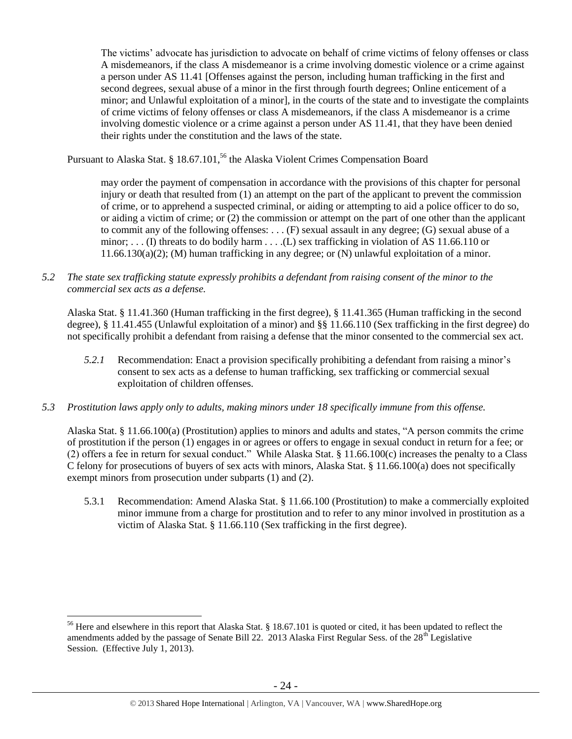The victims' advocate has jurisdiction to advocate on behalf of crime victims of felony offenses or class A misdemeanors, if the class A misdemeanor is a crime involving domestic violence or a crime against a person under AS 11.41 [Offenses against the person, including human trafficking in the first and second degrees, sexual abuse of a minor in the first through fourth degrees; Online enticement of a minor; and Unlawful exploitation of a minor], in the courts of the state and to investigate the complaints of crime victims of felony offenses or class A misdemeanors, if the class A misdemeanor is a crime involving domestic violence or a crime against a person under AS 11.41, that they have been denied their rights under the constitution and the laws of the state.

Pursuant to Alaska Stat. § 18.67.101,<sup>56</sup> the Alaska Violent Crimes Compensation Board

may order the payment of compensation in accordance with the provisions of this chapter for personal injury or death that resulted from (1) an attempt on the part of the applicant to prevent the commission of crime, or to apprehend a suspected criminal, or aiding or attempting to aid a police officer to do so, or aiding a victim of crime; or (2) the commission or attempt on the part of one other than the applicant to commit any of the following offenses: . . . (F) sexual assault in any degree; (G) sexual abuse of a minor; . . . (I) threats to do bodily harm . . . .(L) sex trafficking in violation of AS 11.66.110 or 11.66.130(a)(2); (M) human trafficking in any degree; or (N) unlawful exploitation of a minor.

*5.2 The state sex trafficking statute expressly prohibits a defendant from raising consent of the minor to the commercial sex acts as a defense.*

Alaska Stat. § 11.41.360 (Human trafficking in the first degree), § 11.41.365 (Human trafficking in the second degree), § 11.41.455 (Unlawful exploitation of a minor) and §§ 11.66.110 (Sex trafficking in the first degree) do not specifically prohibit a defendant from raising a defense that the minor consented to the commercial sex act.

- *5.2.1* Recommendation: Enact a provision specifically prohibiting a defendant from raising a minor's consent to sex acts as a defense to human trafficking, sex trafficking or commercial sexual exploitation of children offenses.
- *5.3 Prostitution laws apply only to adults, making minors under 18 specifically immune from this offense.*

Alaska Stat. § 11.66.100(a) (Prostitution) applies to minors and adults and states, "A person commits the crime of prostitution if the person (1) engages in or agrees or offers to engage in sexual conduct in return for a fee; or (2) offers a fee in return for sexual conduct." While Alaska Stat. § 11.66.100(c) increases the penalty to a Class C felony for prosecutions of buyers of sex acts with minors, Alaska Stat. § 11.66.100(a) does not specifically exempt minors from prosecution under subparts (1) and (2).

5.3.1 Recommendation: Amend Alaska Stat. § 11.66.100 (Prostitution) to make a commercially exploited minor immune from a charge for prostitution and to refer to any minor involved in prostitution as a victim of Alaska Stat. § 11.66.110 (Sex trafficking in the first degree).

<sup>&</sup>lt;sup>56</sup> Here and elsewhere in this report that Alaska Stat. § 18.67.101 is quoted or cited, it has been updated to reflect the amendments added by the passage of Senate Bill 22. 2013 Alaska First Regular Sess. of the  $28<sup>th</sup>$  Legislative Session. (Effective July 1, 2013).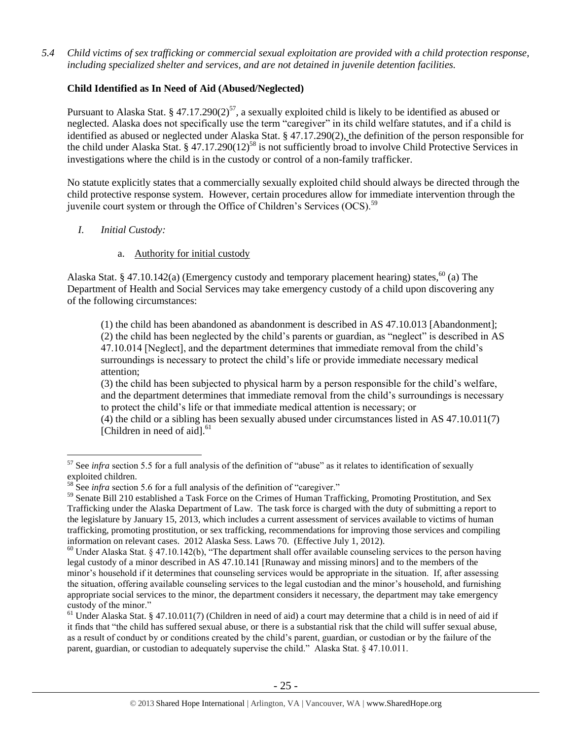*5.4 Child victims of sex trafficking or commercial sexual exploitation are provided with a child protection response, including specialized shelter and services, and are not detained in juvenile detention facilities.*

# **Child Identified as In Need of Aid (Abused/Neglected)**

Pursuant to Alaska Stat. § 47.17.290(2)<sup>57</sup>, a sexually exploited child is likely to be identified as abused or neglected. Alaska does not specifically use the term "caregiver" in its child welfare statutes, and if a child is identified as abused or neglected under Alaska Stat. § 47.17.290(2), the definition of the person responsible for the child under Alaska Stat. § 47.17.290(12)<sup>58</sup> is not sufficiently broad to involve Child Protective Services in investigations where the child is in the custody or control of a non-family trafficker.

No statute explicitly states that a commercially sexually exploited child should always be directed through the child protective response system. However, certain procedures allow for immediate intervention through the juvenile court system or through the Office of Children's Services (OCS).<sup>59</sup>

## *I. Initial Custody:*

 $\overline{a}$ 

# a. Authority for initial custody

Alaska Stat. § 47.10.142(a) (Emergency custody and temporary placement hearing) states,<sup>60</sup> (a) The Department of Health and Social Services may take emergency custody of a child upon discovering any of the following circumstances:

(1) the child has been abandoned as abandonment is described in AS 47.10.013 [Abandonment]; (2) the child has been neglected by the child's parents or guardian, as "neglect" is described in AS 47.10.014 [Neglect], and the department determines that immediate removal from the child's surroundings is necessary to protect the child's life or provide immediate necessary medical attention;

(3) the child has been subjected to physical harm by a person responsible for the child's welfare, and the department determines that immediate removal from the child's surroundings is necessary to protect the child's life or that immediate medical attention is necessary; or

(4) the child or a sibling has been sexually abused under circumstances listed in AS 47.10.011(7) [Children in need of aid]. $61$ 

<sup>&</sup>lt;sup>57</sup> See *infra* section 5.5 for a full analysis of the definition of "abuse" as it relates to identification of sexually exploited children.

<sup>&</sup>lt;sup>58</sup> See *infra* section 5.6 for a full analysis of the definition of "caregiver."

<sup>&</sup>lt;sup>59</sup> Senate Bill 210 established a Task Force on the Crimes of Human Trafficking, Promoting Prostitution, and Sex Trafficking under the Alaska Department of Law. The task force is charged with the duty of submitting a report to the legislature by January 15, 2013, which includes a current assessment of services available to victims of human trafficking, promoting prostitution, or sex trafficking, recommendations for improving those services and compiling information on relevant cases. 2012 Alaska Sess. Laws 70. (Effective July 1, 2012).

<sup>&</sup>lt;sup>60</sup> Under Alaska Stat. § 47.10.142(b), "The department shall offer available counseling services to the person having legal custody of a minor described in AS 47.10.141 [Runaway and missing minors] and to the members of the minor's household if it determines that counseling services would be appropriate in the situation. If, after assessing the situation, offering available counseling services to the legal custodian and the minor's household, and furnishing appropriate social services to the minor, the department considers it necessary, the department may take emergency custody of the minor."

 $61$  Under Alaska Stat. § 47.10.011(7) (Children in need of aid) a court may determine that a child is in need of aid if it finds that "the child has suffered sexual abuse, or there is a substantial risk that the child will suffer sexual abuse, as a result of conduct by or conditions created by the child's parent, guardian, or custodian or by the failure of the parent, guardian, or custodian to adequately supervise the child." Alaska Stat. § 47.10.011.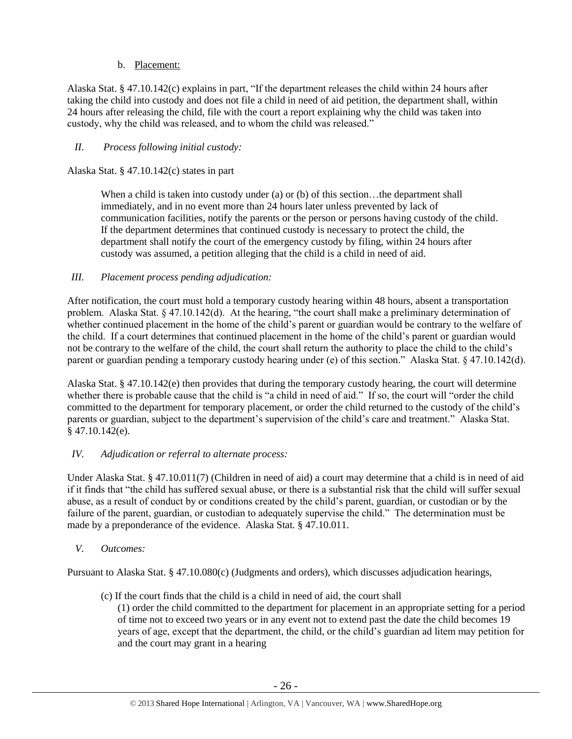# b. Placement:

Alaska Stat. § 47.10.142(c) explains in part, "If the department releases the child within 24 hours after taking the child into custody and does not file a child in need of aid petition, the department shall, within 24 hours after releasing the child, file with the court a report explaining why the child was taken into custody, why the child was released, and to whom the child was released."

# *II. Process following initial custody:*

Alaska Stat. § 47.10.142(c) states in part

When a child is taken into custody under (a) or (b) of this section...the department shall immediately, and in no event more than 24 hours later unless prevented by lack of communication facilities, notify the parents or the person or persons having custody of the child. If the department determines that continued custody is necessary to protect the child, the department shall notify the court of the emergency custody by filing, within 24 hours after custody was assumed, a petition alleging that the child is a child in need of aid.

# *III. Placement process pending adjudication:*

After notification, the court must hold a temporary custody hearing within 48 hours, absent a transportation problem. Alaska Stat. § 47.10.142(d). At the hearing, "the court shall make a preliminary determination of whether continued placement in the home of the child's parent or guardian would be contrary to the welfare of the child. If a court determines that continued placement in the home of the child's parent or guardian would not be contrary to the welfare of the child, the court shall return the authority to place the child to the child's parent or guardian pending a temporary custody hearing under (e) of this section." Alaska Stat. § 47.10.142(d).

Alaska Stat. § 47.10.142(e) then provides that during the temporary custody hearing, the court will determine whether there is probable cause that the child is "a child in need of aid." If so, the court will "order the child committed to the department for temporary placement, or order the child returned to the custody of the child's parents or guardian, subject to the department's supervision of the child's care and treatment." Alaska Stat.  $§$  47.10.142(e).

## *IV. Adjudication or referral to alternate process:*

Under Alaska Stat. § 47.10.011(7) (Children in need of aid) a court may determine that a child is in need of aid if it finds that "the child has suffered sexual abuse, or there is a substantial risk that the child will suffer sexual abuse, as a result of conduct by or conditions created by the child's parent, guardian, or custodian or by the failure of the parent, guardian, or custodian to adequately supervise the child." The determination must be made by a preponderance of the evidence. Alaska Stat. § 47.10.011.

## *V. Outcomes:*

Pursuant to Alaska Stat. § 47.10.080(c) (Judgments and orders), which discusses adjudication hearings,

- (c) If the court finds that the child is a child in need of aid, the court shall
	- (1) order the child committed to the department for placement in an appropriate setting for a period of time not to exceed two years or in any event not to extend past the date the child becomes 19 years of age, except that the department, the child, or the child's guardian ad litem may petition for and the court may grant in a hearing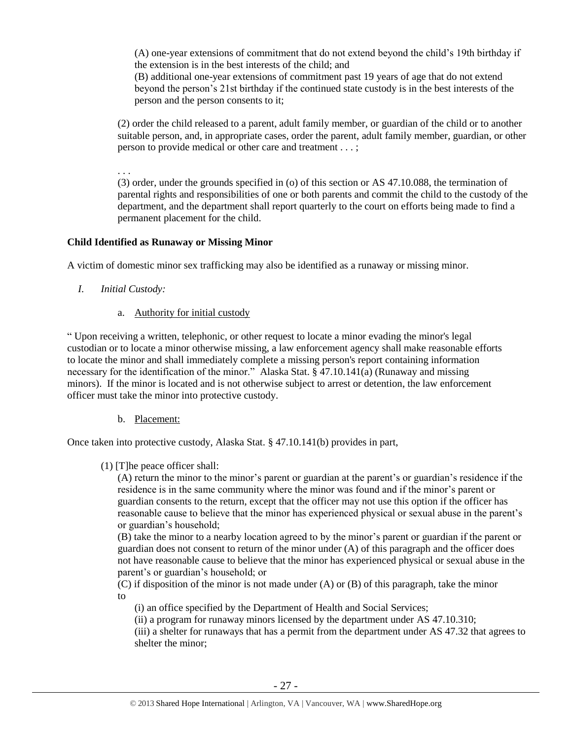(A) one-year extensions of commitment that do not extend beyond the child's 19th birthday if the extension is in the best interests of the child; and

(B) additional one-year extensions of commitment past 19 years of age that do not extend beyond the person's 21st birthday if the continued state custody is in the best interests of the person and the person consents to it;

(2) order the child released to a parent, adult family member, or guardian of the child or to another suitable person, and, in appropriate cases, order the parent, adult family member, guardian, or other person to provide medical or other care and treatment . . . ;

. . .

(3) order, under the grounds specified in (o) of this section or AS 47.10.088, the termination of parental rights and responsibilities of one or both parents and commit the child to the custody of the department, and the department shall report quarterly to the court on efforts being made to find a permanent placement for the child.

## **Child Identified as Runaway or Missing Minor**

A victim of domestic minor sex trafficking may also be identified as a runaway or missing minor.

- *I. Initial Custody:* 
	- a. Authority for initial custody

" Upon receiving a written, telephonic, or other request to locate a minor evading the minor's legal custodian or to locate a minor otherwise missing, a law enforcement agency shall make reasonable efforts to locate the minor and shall immediately complete a missing person's report containing information necessary for the identification of the minor." Alaska Stat. § 47.10.141(a) (Runaway and missing minors). If the minor is located and is not otherwise subject to arrest or detention, the law enforcement officer must take the minor into protective custody.

b. Placement:

Once taken into protective custody, Alaska Stat. § 47.10.141(b) provides in part,

(1) [T]he peace officer shall:

(A) return the minor to the minor's parent or guardian at the parent's or guardian's residence if the residence is in the same community where the minor was found and if the minor's parent or guardian consents to the return, except that the officer may not use this option if the officer has reasonable cause to believe that the minor has experienced physical or sexual abuse in the parent's or guardian's household;

(B) take the minor to a nearby location agreed to by the minor's parent or guardian if the parent or guardian does not consent to return of the minor under (A) of this paragraph and the officer does not have reasonable cause to believe that the minor has experienced physical or sexual abuse in the parent's or guardian's household; or

(C) if disposition of the minor is not made under (A) or (B) of this paragraph, take the minor to

- (i) an office specified by the Department of Health and Social Services;
- (ii) a program for runaway minors licensed by the department under AS 47.10.310;

(iii) a shelter for runaways that has a permit from the department under AS 47.32 that agrees to shelter the minor;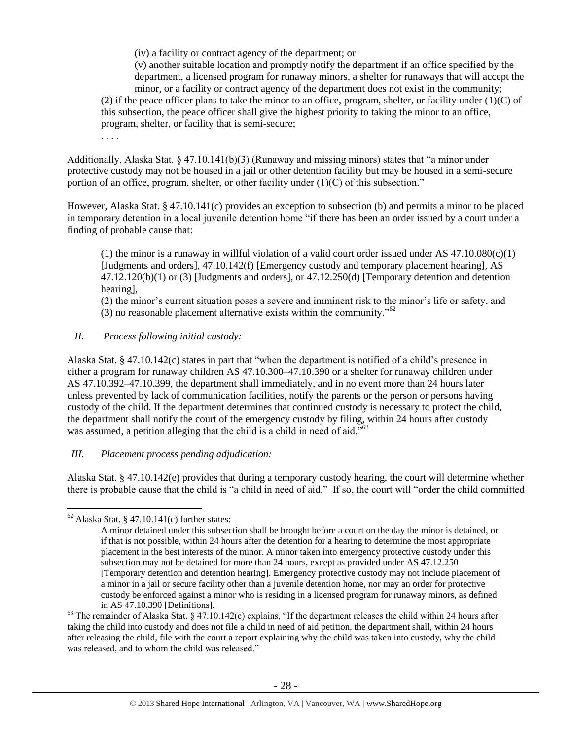(iv) a facility or contract agency of the department; or

(v) another suitable location and promptly notify the department if an office specified by the department, a licensed program for runaway minors, a shelter for runaways that will accept the minor, or a facility or contract agency of the department does not exist in the community; (2) if the peace officer plans to take the minor to an office, program, shelter, or facility under  $(1)(C)$  of this subsection, the peace officer shall give the highest priority to taking the minor to an office, program, shelter, or facility that is semi-secure;

. . . .

Additionally, Alaska Stat. § 47.10.141(b)(3) (Runaway and missing minors) states that "a minor under protective custody may not be housed in a jail or other detention facility but may be housed in a semi-secure portion of an office, program, shelter, or other facility under  $(1)(C)$  of this subsection."

However, Alaska Stat. § 47.10.141(c) provides an exception to subsection (b) and permits a minor to be placed in temporary detention in a local juvenile detention home "if there has been an order issued by a court under a finding of probable cause that:

(1) the minor is a runaway in willful violation of a valid court order issued under AS  $47.10.080(c)(1)$ [Judgments and orders], 47.10.142(f) [Emergency custody and temporary placement hearing], AS 47.12.120(b)(1) or (3) [Judgments and orders], or 47.12.250(d) [Temporary detention and detention hearing],

(2) the minor's current situation poses a severe and imminent risk to the minor's life or safety, and (3) no reasonable placement alternative exists within the community."<sup>62</sup>

# *II. Process following initial custody:*

Alaska Stat. § 47.10.142(c) states in part that "when the department is notified of a child's presence in either a program for runaway children AS 47.10.300–47.10.390 or a shelter for runaway children under AS 47.10.392–47.10.399, the department shall immediately, and in no event more than 24 hours later unless prevented by lack of communication facilities, notify the parents or the person or persons having custody of the child. If the department determines that continued custody is necessary to protect the child, the department shall notify the court of the emergency custody by filing, within 24 hours after custody was assumed, a petition alleging that the child is a child in need of aid."<sup>63</sup>

# *III. Placement process pending adjudication:*

Alaska Stat. § 47.10.142(e) provides that during a temporary custody hearing, the court will determine whether there is probable cause that the child is "a child in need of aid." If so, the court will "order the child committed

 $62$  Alaska Stat. § 47.10.141(c) further states:

A minor detained under this subsection shall be brought before a court on the day the minor is detained, or if that is not possible, within 24 hours after the detention for a hearing to determine the most appropriate placement in the best interests of the minor. A minor taken into emergency protective custody under this subsection may not be detained for more than 24 hours, except as provided under AS 47.12.250 [Temporary detention and detention hearing]. Emergency protective custody may not include placement of a minor in a jail or secure facility other than a juvenile detention home, nor may an order for protective custody be enforced against a minor who is residing in a licensed program for runaway minors, as defined in AS 47.10.390 [Definitions].

 $63$  The remainder of Alaska Stat. § 47.10.142(c) explains, "If the department releases the child within 24 hours after taking the child into custody and does not file a child in need of aid petition, the department shall, within 24 hours after releasing the child, file with the court a report explaining why the child was taken into custody, why the child was released, and to whom the child was released."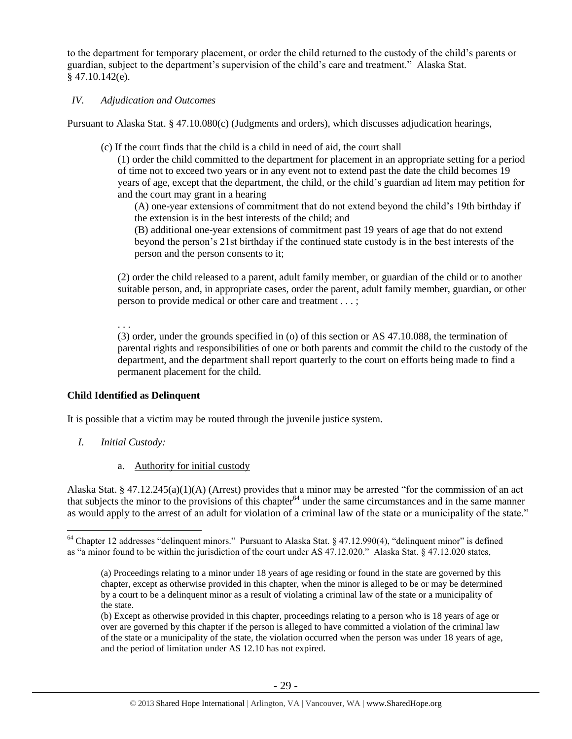to the department for temporary placement, or order the child returned to the custody of the child's parents or guardian, subject to the department's supervision of the child's care and treatment." Alaska Stat. § 47.10.142(e).

## *IV. Adjudication and Outcomes*

Pursuant to Alaska Stat. § 47.10.080(c) (Judgments and orders), which discusses adjudication hearings,

(c) If the court finds that the child is a child in need of aid, the court shall

(1) order the child committed to the department for placement in an appropriate setting for a period of time not to exceed two years or in any event not to extend past the date the child becomes 19 years of age, except that the department, the child, or the child's guardian ad litem may petition for and the court may grant in a hearing

(A) one-year extensions of commitment that do not extend beyond the child's 19th birthday if the extension is in the best interests of the child; and

(B) additional one-year extensions of commitment past 19 years of age that do not extend beyond the person's 21st birthday if the continued state custody is in the best interests of the person and the person consents to it;

(2) order the child released to a parent, adult family member, or guardian of the child or to another suitable person, and, in appropriate cases, order the parent, adult family member, guardian, or other person to provide medical or other care and treatment . . . ;

. . .

(3) order, under the grounds specified in (o) of this section or AS 47.10.088, the termination of parental rights and responsibilities of one or both parents and commit the child to the custody of the department, and the department shall report quarterly to the court on efforts being made to find a permanent placement for the child.

# **Child Identified as Delinquent**

It is possible that a victim may be routed through the juvenile justice system.

*I. Initial Custody:* 

 $\overline{a}$ 

a. Authority for initial custody

Alaska Stat. § 47.12.245(a)(1)(A) (Arrest) provides that a minor may be arrested "for the commission of an act that subjects the minor to the provisions of this chapter $64$  under the same circumstances and in the same manner as would apply to the arrest of an adult for violation of a criminal law of the state or a municipality of the state."

<sup>&</sup>lt;sup>64</sup> Chapter 12 addresses "delinquent minors." Pursuant to Alaska Stat. § 47.12.990(4), "delinquent minor" is defined as "a minor found to be within the jurisdiction of the court under AS 47.12.020." Alaska Stat. § 47.12.020 states,

<sup>(</sup>a) Proceedings relating to a minor under 18 years of age residing or found in the state are governed by this chapter, except as otherwise provided in this chapter, when the minor is alleged to be or may be determined by a court to be a delinquent minor as a result of violating a criminal law of the state or a municipality of the state.

<sup>(</sup>b) Except as otherwise provided in this chapter, proceedings relating to a person who is 18 years of age or over are governed by this chapter if the person is alleged to have committed a violation of the criminal law of the state or a municipality of the state, the violation occurred when the person was under 18 years of age, and the period of limitation under AS 12.10 has not expired.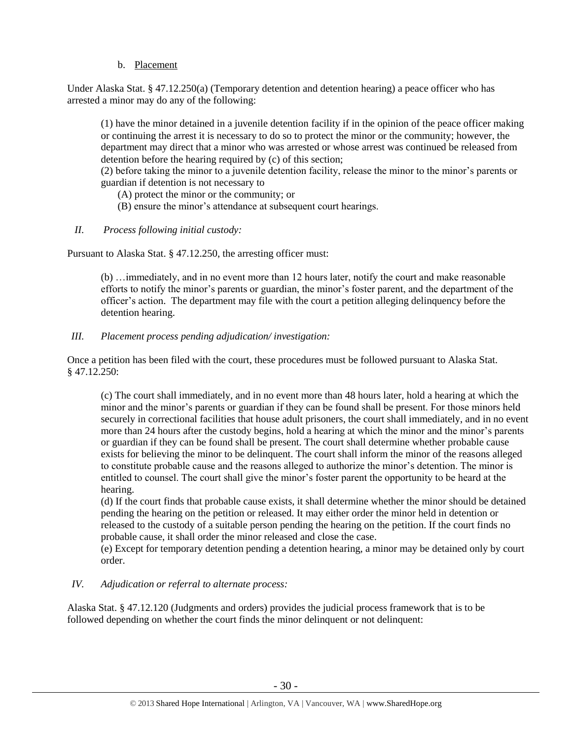# b. Placement

Under Alaska Stat. § 47.12.250(a) (Temporary detention and detention hearing) a peace officer who has arrested a minor may do any of the following:

(1) have the minor detained in a juvenile detention facility if in the opinion of the peace officer making or continuing the arrest it is necessary to do so to protect the minor or the community; however, the department may direct that a minor who was arrested or whose arrest was continued be released from detention before the hearing required by (c) of this section;

(2) before taking the minor to a juvenile detention facility, release the minor to the minor's parents or guardian if detention is not necessary to

- (A) protect the minor or the community; or
- (B) ensure the minor's attendance at subsequent court hearings.
- *II. Process following initial custody:*

Pursuant to Alaska Stat. § 47.12.250, the arresting officer must:

(b) …immediately, and in no event more than 12 hours later, notify the court and make reasonable efforts to notify the minor's parents or guardian, the minor's foster parent, and the department of the officer's action. The department may file with the court a petition alleging delinquency before the detention hearing.

*III. Placement process pending adjudication/ investigation:* 

Once a petition has been filed with the court, these procedures must be followed pursuant to Alaska Stat. § 47.12.250:

(c) The court shall immediately, and in no event more than 48 hours later, hold a hearing at which the minor and the minor's parents or guardian if they can be found shall be present. For those minors held securely in correctional facilities that house adult prisoners, the court shall immediately, and in no event more than 24 hours after the custody begins, hold a hearing at which the minor and the minor's parents or guardian if they can be found shall be present. The court shall determine whether probable cause exists for believing the minor to be delinquent. The court shall inform the minor of the reasons alleged to constitute probable cause and the reasons alleged to authorize the minor's detention. The minor is entitled to counsel. The court shall give the minor's foster parent the opportunity to be heard at the hearing.

(d) If the court finds that probable cause exists, it shall determine whether the minor should be detained pending the hearing on the petition or released. It may either order the minor held in detention or released to the custody of a suitable person pending the hearing on the petition. If the court finds no probable cause, it shall order the minor released and close the case.

(e) Except for temporary detention pending a detention hearing, a minor may be detained only by court order.

## *IV. Adjudication or referral to alternate process:*

Alaska Stat. § 47.12.120 (Judgments and orders) provides the judicial process framework that is to be followed depending on whether the court finds the minor delinquent or not delinquent: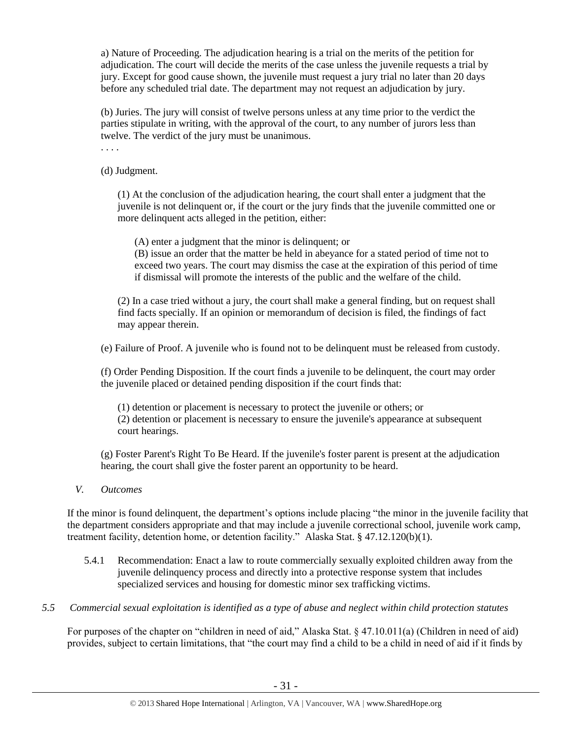a) Nature of Proceeding. The adjudication hearing is a trial on the merits of the petition for adjudication. The court will decide the merits of the case unless the juvenile requests a trial by jury. Except for good cause shown, the juvenile must request a jury trial no later than 20 days before any scheduled trial date. The department may not request an adjudication by jury.

(b) Juries. The jury will consist of twelve persons unless at any time prior to the verdict the parties stipulate in writing, with the approval of the court, to any number of jurors less than twelve. The verdict of the jury must be unanimous.

. . . .

(d) Judgment.

(1) At the conclusion of the adjudication hearing, the court shall enter a judgment that the juvenile is not delinquent or, if the court or the jury finds that the juvenile committed one or more delinquent acts alleged in the petition, either:

(A) enter a judgment that the minor is delinquent; or

(B) issue an order that the matter be held in abeyance for a stated period of time not to exceed two years. The court may dismiss the case at the expiration of this period of time if dismissal will promote the interests of the public and the welfare of the child.

(2) In a case tried without a jury, the court shall make a general finding, but on request shall find facts specially. If an opinion or memorandum of decision is filed, the findings of fact may appear therein.

(e) Failure of Proof. A juvenile who is found not to be delinquent must be released from custody.

(f) Order Pending Disposition. If the court finds a juvenile to be delinquent, the court may order the juvenile placed or detained pending disposition if the court finds that:

(1) detention or placement is necessary to protect the juvenile or others; or (2) detention or placement is necessary to ensure the juvenile's appearance at subsequent court hearings.

(g) Foster Parent's Right To Be Heard. If the juvenile's foster parent is present at the adjudication hearing, the court shall give the foster parent an opportunity to be heard.

*V. Outcomes* 

If the minor is found delinquent, the department's options include placing "the minor in the juvenile facility that the department considers appropriate and that may include a juvenile correctional school, juvenile work camp, treatment facility, detention home, or detention facility." Alaska Stat. § 47.12.120(b)(1).

- 5.4.1 Recommendation: Enact a law to route commercially sexually exploited children away from the juvenile delinquency process and directly into a protective response system that includes specialized services and housing for domestic minor sex trafficking victims.
- *5.5 Commercial sexual exploitation is identified as a type of abuse and neglect within child protection statutes*

For purposes of the chapter on "children in need of aid," Alaska Stat. § 47.10.011(a) (Children in need of aid) provides, subject to certain limitations, that "the court may find a child to be a child in need of aid if it finds by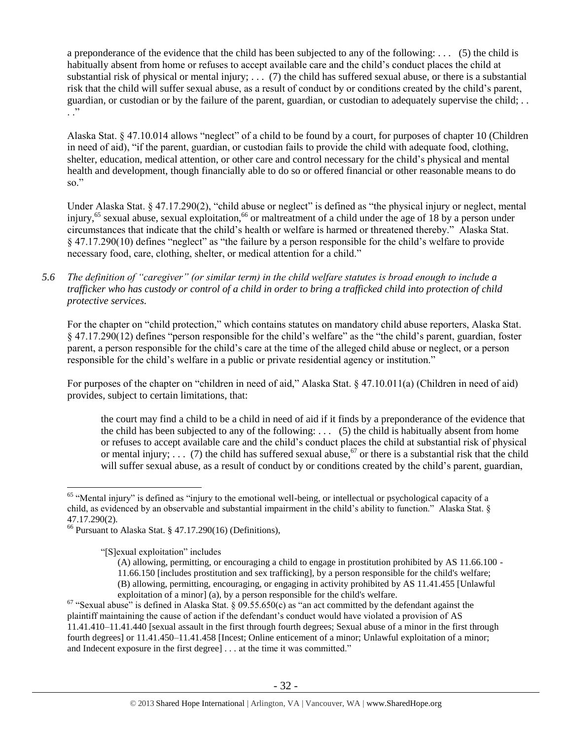a preponderance of the evidence that the child has been subjected to any of the following: . . . (5) the child is habitually absent from home or refuses to accept available care and the child's conduct places the child at substantial risk of physical or mental injury;  $\ldots$  (7) the child has suffered sexual abuse, or there is a substantial risk that the child will suffer sexual abuse, as a result of conduct by or conditions created by the child's parent, guardian, or custodian or by the failure of the parent, guardian, or custodian to adequately supervise the child; . .  $\cdot$  .  $\cdot$ 

Alaska Stat. § 47.10.014 allows "neglect" of a child to be found by a court, for purposes of chapter 10 (Children in need of aid), "if the parent, guardian, or custodian fails to provide the child with adequate food, clothing, shelter, education, medical attention, or other care and control necessary for the child's physical and mental health and development, though financially able to do so or offered financial or other reasonable means to do so."

Under Alaska Stat. § 47.17.290(2), "child abuse or neglect" is defined as "the physical injury or neglect, mental injury,<sup>65</sup> sexual abuse, sexual exploitation,<sup>66</sup> or maltreatment of a child under the age of 18 by a person under circumstances that indicate that the child's health or welfare is harmed or threatened thereby." Alaska Stat. § 47.17.290(10) defines "neglect" as "the failure by a person responsible for the child's welfare to provide necessary food, care, clothing, shelter, or medical attention for a child."

*5.6 The definition of "caregiver" (or similar term) in the child welfare statutes is broad enough to include a trafficker who has custody or control of a child in order to bring a trafficked child into protection of child protective services.*

For the chapter on "child protection," which contains statutes on mandatory child abuse reporters, Alaska Stat. § 47.17.290(12) defines "person responsible for the child's welfare" as the "the child's parent, guardian, foster parent, a person responsible for the child's care at the time of the alleged child abuse or neglect, or a person responsible for the child's welfare in a public or private residential agency or institution."

For purposes of the chapter on "children in need of aid," Alaska Stat. § 47.10.011(a) (Children in need of aid) provides, subject to certain limitations, that:

<span id="page-31-0"></span>the court may find a child to be a child in need of aid if it finds by a preponderance of the evidence that the child has been subjected to any of the following:  $\ldots$  (5) the child is habitually absent from home or refuses to accept available care and the child's conduct places the child at substantial risk of physical or mental injury; ... (7) the child has suffered sexual abuse,<sup>67</sup> or there is a substantial risk that the child will suffer sexual abuse, as a result of conduct by or conditions created by the child's parent, guardian,

<sup>&</sup>lt;sup>65</sup> "Mental injury" is defined as "injury to the emotional well-being, or intellectual or psychological capacity of a child, as evidenced by an observable and substantial impairment in the child's ability to function." Alaska Stat. § 47.17.290(2).

<sup>66</sup> Pursuant to Alaska Stat. § 47.17.290(16) (Definitions),

<sup>&</sup>quot;[S]exual exploitation" includes

<sup>(</sup>A) allowing, permitting, or encouraging a child to engage in prostitution prohibited by AS 11.66.100 - 11.66.150 [includes prostitution and sex trafficking], by a person responsible for the child's welfare; (B) allowing, permitting, encouraging, or engaging in activity prohibited by AS 11.41.455 [Unlawful exploitation of a minor] (a), by a person responsible for the child's welfare.

 $67$  "Sexual abuse" is defined in Alaska Stat. § 09.55.650(c) as "an act committed by the defendant against the plaintiff maintaining the cause of action if the defendant's conduct would have violated a provision of AS 11.41.410–11.41.440 [sexual assault in the first through fourth degrees; Sexual abuse of a minor in the first through fourth degrees] or 11.41.450–11.41.458 [Incest; Online enticement of a minor; Unlawful exploitation of a minor; and Indecent exposure in the first degree] . . . at the time it was committed."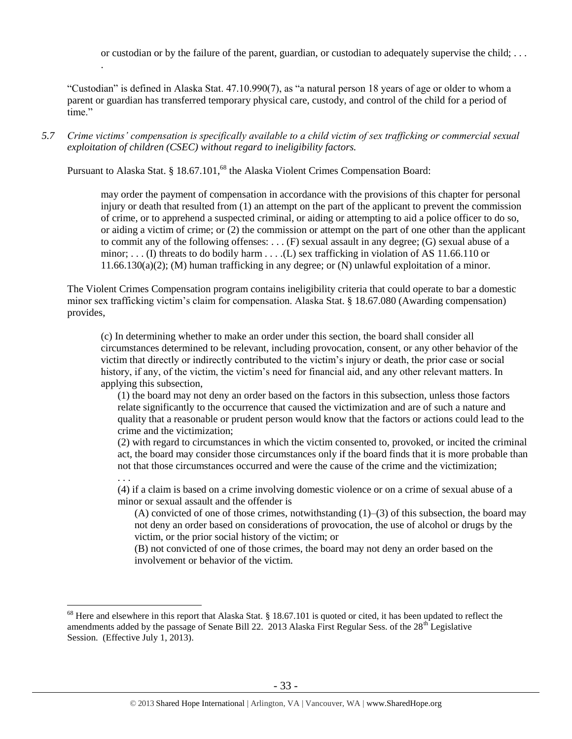or custodian or by the failure of the parent, guardian, or custodian to adequately supervise the child; . . .

"Custodian" is defined in Alaska Stat. 47.10.990(7), as "a natural person 18 years of age or older to whom a parent or guardian has transferred temporary physical care, custody, and control of the child for a period of time"

*5.7 Crime victims' compensation is specifically available to a child victim of sex trafficking or commercial sexual exploitation of children (CSEC) without regard to ineligibility factors.*

Pursuant to Alaska Stat. § 18.67.101,<sup>68</sup> the Alaska Violent Crimes Compensation Board:

.

 $\overline{a}$ 

may order the payment of compensation in accordance with the provisions of this chapter for personal injury or death that resulted from (1) an attempt on the part of the applicant to prevent the commission of crime, or to apprehend a suspected criminal, or aiding or attempting to aid a police officer to do so, or aiding a victim of crime; or (2) the commission or attempt on the part of one other than the applicant to commit any of the following offenses: . . . (F) sexual assault in any degree; (G) sexual abuse of a minor; ... (I) threats to do bodily harm ... ... (L) sex trafficking in violation of AS 11.66.110 or 11.66.130(a)(2); (M) human trafficking in any degree; or (N) unlawful exploitation of a minor.

The Violent Crimes Compensation program contains ineligibility criteria that could operate to bar a domestic minor sex trafficking victim's claim for compensation. Alaska Stat. § 18.67.080 (Awarding compensation) provides,

(c) In determining whether to make an order under this section, the board shall consider all circumstances determined to be relevant, including provocation, consent, or any other behavior of the victim that directly or indirectly contributed to the victim's injury or death, the prior case or social history, if any, of the victim, the victim's need for financial aid, and any other relevant matters. In applying this subsection,

(1) the board may not deny an order based on the factors in this subsection, unless those factors relate significantly to the occurrence that caused the victimization and are of such a nature and quality that a reasonable or prudent person would know that the factors or actions could lead to the crime and the victimization;

(2) with regard to circumstances in which the victim consented to, provoked, or incited the criminal act, the board may consider those circumstances only if the board finds that it is more probable than not that those circumstances occurred and were the cause of the crime and the victimization; . . .

(4) if a claim is based on a crime involving domestic violence or on a crime of sexual abuse of a minor or sexual assault and the offender is

(A) convicted of one of those crimes, notwithstanding  $(1)$ – $(3)$  of this subsection, the board may not deny an order based on considerations of provocation, the use of alcohol or drugs by the victim, or the prior social history of the victim; or

(B) not convicted of one of those crimes, the board may not deny an order based on the involvement or behavior of the victim.

 $68$  Here and elsewhere in this report that Alaska Stat. § 18.67.101 is quoted or cited, it has been updated to reflect the amendments added by the passage of Senate Bill 22. 2013 Alaska First Regular Sess. of the 28<sup>th</sup> Legislative Session. (Effective July 1, 2013).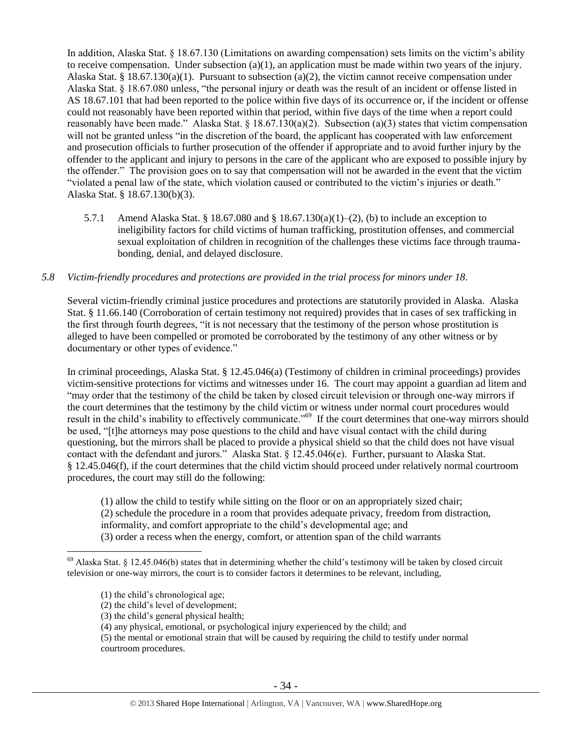In addition, Alaska Stat. § 18.67.130 (Limitations on awarding compensation) sets limits on the victim's ability to receive compensation. Under subsection (a)(1), an application must be made within two years of the injury. Alaska Stat. § 18.67.130(a)(1). Pursuant to subsection (a)(2), the victim cannot receive compensation under Alaska Stat. § 18.67.080 unless, "the personal injury or death was the result of an incident or offense listed in AS 18.67.101 that had been reported to the police within five days of its occurrence or, if the incident or offense could not reasonably have been reported within that period, within five days of the time when a report could reasonably have been made." Alaska Stat. § 18.67.130(a)(2). Subsection (a)(3) states that victim compensation will not be granted unless "in the discretion of the board, the applicant has cooperated with law enforcement and prosecution officials to further prosecution of the offender if appropriate and to avoid further injury by the offender to the applicant and injury to persons in the care of the applicant who are exposed to possible injury by the offender." The provision goes on to say that compensation will not be awarded in the event that the victim "violated a penal law of the state, which violation caused or contributed to the victim's injuries or death." Alaska Stat. § 18.67.130(b)(3).

5.7.1 Amend Alaska Stat. § 18.67.080 and § 18.67.130(a)(1)–(2), (b) to include an exception to ineligibility factors for child victims of human trafficking, prostitution offenses, and commercial sexual exploitation of children in recognition of the challenges these victims face through traumabonding, denial, and delayed disclosure.

## *5.8 Victim-friendly procedures and protections are provided in the trial process for minors under 18.*

Several victim-friendly criminal justice procedures and protections are statutorily provided in Alaska. Alaska Stat. § 11.66.140 (Corroboration of certain testimony not required) provides that in cases of sex trafficking in the first through fourth degrees, "it is not necessary that the testimony of the person whose prostitution is alleged to have been compelled or promoted be corroborated by the testimony of any other witness or by documentary or other types of evidence."

In criminal proceedings, Alaska Stat. § 12.45.046(a) (Testimony of children in criminal proceedings) provides victim-sensitive protections for victims and witnesses under 16. The court may appoint a guardian ad litem and "may order that the testimony of the child be taken by closed circuit television or through one-way mirrors if the court determines that the testimony by the child victim or witness under normal court procedures would result in the child's inability to effectively communicate."<sup>69</sup> If the court determines that one-way mirrors should be used, "[t]he attorneys may pose questions to the child and have visual contact with the child during questioning, but the mirrors shall be placed to provide a physical shield so that the child does not have visual contact with the defendant and jurors." Alaska Stat. § 12.45.046(e). Further, pursuant to Alaska Stat. § 12.45.046(f), if the court determines that the child victim should proceed under relatively normal courtroom procedures, the court may still do the following:

(1) allow the child to testify while sitting on the floor or on an appropriately sized chair; (2) schedule the procedure in a room that provides adequate privacy, freedom from distraction, informality, and comfort appropriate to the child's developmental age; and (3) order a recess when the energy, comfort, or attention span of the child warrants

 $69$  Alaska Stat. § 12.45.046(b) states that in determining whether the child's testimony will be taken by closed circuit television or one-way mirrors, the court is to consider factors it determines to be relevant, including,

<sup>(1)</sup> the child's chronological age;

<sup>(2)</sup> the child's level of development;

<sup>(3)</sup> the child's general physical health;

<sup>(4)</sup> any physical, emotional, or psychological injury experienced by the child; and

<sup>(5)</sup> the mental or emotional strain that will be caused by requiring the child to testify under normal courtroom procedures.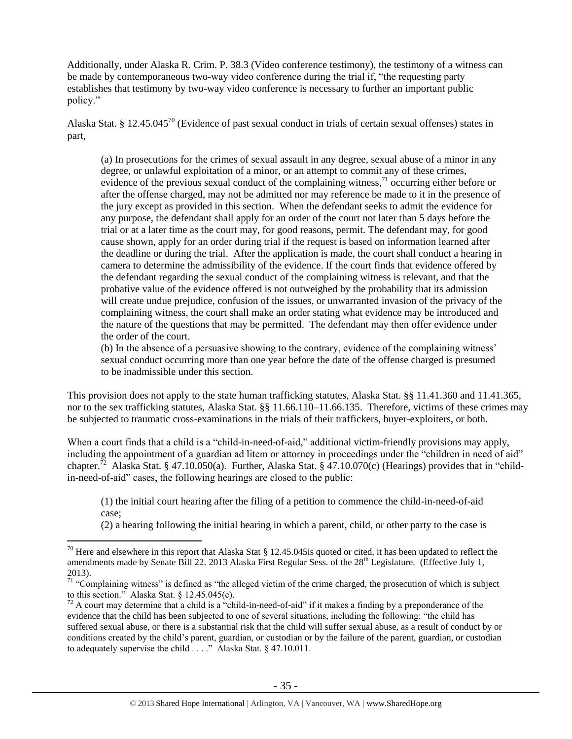Additionally, under Alaska R. Crim. P. 38.3 (Video conference testimony), the testimony of a witness can be made by contemporaneous two-way video conference during the trial if, "the requesting party establishes that testimony by two-way video conference is necessary to further an important public policy."

Alaska Stat. § 12.45.045<sup>70</sup> (Evidence of past sexual conduct in trials of certain sexual offenses) states in part,

(a) In prosecutions for the crimes of sexual assault in any degree, sexual abuse of a minor in any degree, or unlawful exploitation of a minor, or an attempt to commit any of these crimes, evidence of the previous sexual conduct of the complaining witness,  $\frac{1}{1}$  occurring either before or after the offense charged, may not be admitted nor may reference be made to it in the presence of the jury except as provided in this section. When the defendant seeks to admit the evidence for any purpose, the defendant shall apply for an order of the court not later than 5 days before the trial or at a later time as the court may, for good reasons, permit. The defendant may, for good cause shown, apply for an order during trial if the request is based on information learned after the deadline or during the trial. After the application is made, the court shall conduct a hearing in camera to determine the admissibility of the evidence. If the court finds that evidence offered by the defendant regarding the sexual conduct of the complaining witness is relevant, and that the probative value of the evidence offered is not outweighed by the probability that its admission will create undue prejudice, confusion of the issues, or unwarranted invasion of the privacy of the complaining witness, the court shall make an order stating what evidence may be introduced and the nature of the questions that may be permitted. The defendant may then offer evidence under the order of the court.

(b) In the absence of a persuasive showing to the contrary, evidence of the complaining witness' sexual conduct occurring more than one year before the date of the offense charged is presumed to be inadmissible under this section.

This provision does not apply to the state human trafficking statutes, Alaska Stat. §§ 11.41.360 and 11.41.365, nor to the sex trafficking statutes, Alaska Stat. §§ 11.66.110–11.66.135. Therefore, victims of these crimes may be subjected to traumatic cross-examinations in the trials of their traffickers, buyer-exploiters, or both.

When a court finds that a child is a "child-in-need-of-aid," additional victim-friendly provisions may apply, including the appointment of a guardian ad litem or attorney in proceedings under the "children in need of aid" chapter.<sup>72</sup> Alaska Stat. § 47.10.050(a). Further, Alaska Stat. § 47.10.070(c) (Hearings) provides that in "childin-need-of-aid" cases, the following hearings are closed to the public:

(1) the initial court hearing after the filing of a petition to commence the child-in-need-of-aid case;

(2) a hearing following the initial hearing in which a parent, child, or other party to the case is

<sup>&</sup>lt;sup>70</sup> Here and elsewhere in this report that Alaska Stat § 12.45.045 is quoted or cited, it has been updated to reflect the amendments made by Senate Bill 22. 2013 Alaska First Regular Sess. of the 28<sup>th</sup> Legislature. (Effective July 1, 2013).

 $71$  "Complaining witness" is defined as "the alleged victim of the crime charged, the prosecution of which is subject to this section." Alaska Stat. § 12.45.045(c).

 $72$  A court may determine that a child is a "child-in-need-of-aid" if it makes a finding by a preponderance of the evidence that the child has been subjected to one of several situations, including the following: "the child has suffered sexual abuse, or there is a substantial risk that the child will suffer sexual abuse, as a result of conduct by or conditions created by the child's parent, guardian, or custodian or by the failure of the parent, guardian, or custodian to adequately supervise the child . . . ." Alaska Stat. § 47.10.011.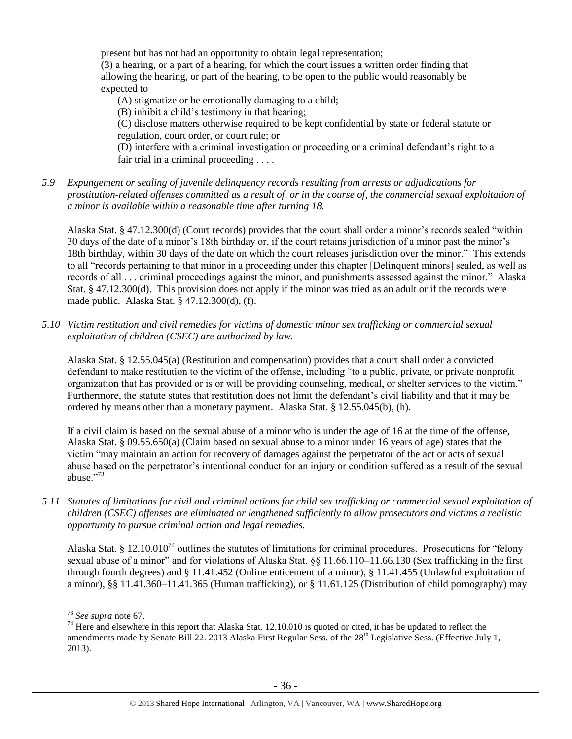present but has not had an opportunity to obtain legal representation; (3) a hearing, or a part of a hearing, for which the court issues a written order finding that allowing the hearing, or part of the hearing, to be open to the public would reasonably be

expected to

(A) stigmatize or be emotionally damaging to a child;

(B) inhibit a child's testimony in that hearing;

(C) disclose matters otherwise required to be kept confidential by state or federal statute or regulation, court order, or court rule; or

(D) interfere with a criminal investigation or proceeding or a criminal defendant's right to a fair trial in a criminal proceeding . . . .

*5.9 Expungement or sealing of juvenile delinquency records resulting from arrests or adjudications for prostitution-related offenses committed as a result of, or in the course of, the commercial sexual exploitation of a minor is available within a reasonable time after turning 18.*

Alaska Stat. § 47.12.300(d) (Court records) provides that the court shall order a minor's records sealed "within 30 days of the date of a minor's 18th birthday or, if the court retains jurisdiction of a minor past the minor's 18th birthday, within 30 days of the date on which the court releases jurisdiction over the minor." This extends to all "records pertaining to that minor in a proceeding under this chapter [Delinquent minors] sealed, as well as records of all . . . criminal proceedings against the minor, and punishments assessed against the minor." Alaska Stat. § 47.12.300(d). This provision does not apply if the minor was tried as an adult or if the records were made public. Alaska Stat. § 47.12.300(d), (f).

*5.10 Victim restitution and civil remedies for victims of domestic minor sex trafficking or commercial sexual exploitation of children (CSEC) are authorized by law.* 

Alaska Stat. § 12.55.045(a) (Restitution and compensation) provides that a court shall order a convicted defendant to make restitution to the victim of the offense, including "to a public, private, or private nonprofit organization that has provided or is or will be providing counseling, medical, or shelter services to the victim." Furthermore, the statute states that restitution does not limit the defendant's civil liability and that it may be ordered by means other than a monetary payment. Alaska Stat. § 12.55.045(b), (h).

If a civil claim is based on the sexual abuse of a minor who is under the age of 16 at the time of the offense, Alaska Stat. § 09.55.650(a) (Claim based on sexual abuse to a minor under 16 years of age) states that the victim "may maintain an action for recovery of damages against the perpetrator of the act or acts of sexual abuse based on the perpetrator's intentional conduct for an injury or condition suffered as a result of the sexual abuse."<sup>73</sup>

*5.11 Statutes of limitations for civil and criminal actions for child sex trafficking or commercial sexual exploitation of children (CSEC) offenses are eliminated or lengthened sufficiently to allow prosecutors and victims a realistic opportunity to pursue criminal action and legal remedies.*

Alaska Stat. § 12.10.010<sup>74</sup> outlines the statutes of limitations for criminal procedures. Prosecutions for "felony" sexual abuse of a minor" and for violations of Alaska Stat. §§ 11.66.110–11.66.130 (Sex trafficking in the first through fourth degrees) and § 11.41.452 (Online enticement of a minor), § 11.41.455 (Unlawful exploitation of a minor), §§ 11.41.360–11.41.365 (Human trafficking), or § 11.61.125 (Distribution of child pornography) may

<sup>73</sup> *See supra* note [67.](#page-31-0)

 $74$  Here and elsewhere in this report that Alaska Stat. 12.10.010 is quoted or cited, it has be updated to reflect the amendments made by Senate Bill 22. 2013 Alaska First Regular Sess. of the 28<sup>th</sup> Legislative Sess. (Effective July 1, 2013).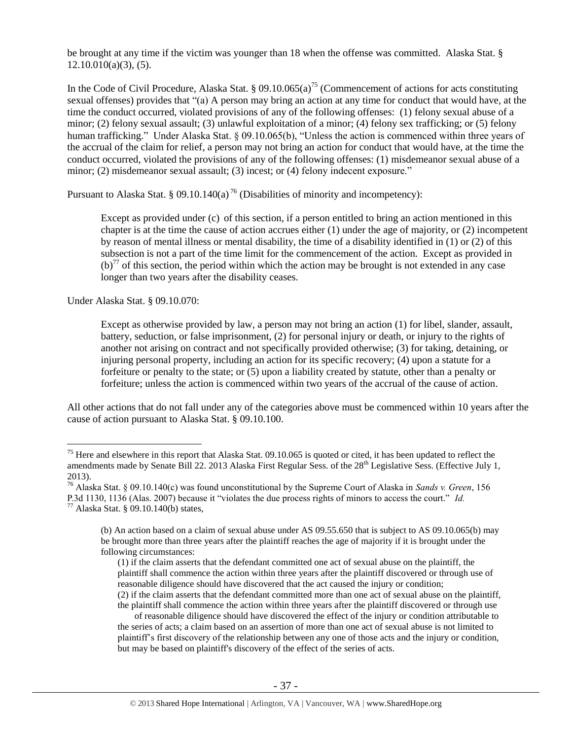be brought at any time if the victim was younger than 18 when the offense was committed. Alaska Stat. §  $12.10.010(a)(3)$ , (5).

In the Code of Civil Procedure, Alaska Stat. § 09.10.065(a)<sup>75</sup> (Commencement of actions for acts constituting sexual offenses) provides that "(a) A person may bring an action at any time for conduct that would have, at the time the conduct occurred, violated provisions of any of the following offenses: (1) felony sexual abuse of a minor; (2) felony sexual assault; (3) unlawful exploitation of a minor; (4) felony sex trafficking; or (5) felony human trafficking." Under Alaska Stat. § 09.10.065(b), "Unless the action is commenced within three years of the accrual of the claim for relief, a person may not bring an action for conduct that would have, at the time the conduct occurred, violated the provisions of any of the following offenses: (1) misdemeanor sexual abuse of a minor; (2) misdemeanor sexual assault; (3) incest; or (4) felony indecent exposure."

Pursuant to Alaska Stat. § 09.10.140(a)<sup>76</sup> (Disabilities of minority and incompetency):

Except as provided under (c) of this section, if a person entitled to bring an action mentioned in this chapter is at the time the cause of action accrues either (1) under the age of majority, or (2) incompetent by reason of mental illness or mental disability, the time of a disability identified in (1) or (2) of this subsection is not a part of the time limit for the commencement of the action. Except as provided in  $(b)^{77}$  of this section, the period within which the action may be brought is not extended in any case longer than two years after the disability ceases.

Under Alaska Stat. § 09.10.070:

 $\overline{a}$ 

Except as otherwise provided by law, a person may not bring an action (1) for libel, slander, assault, battery, seduction, or false imprisonment, (2) for personal injury or death, or injury to the rights of another not arising on contract and not specifically provided otherwise; (3) for taking, detaining, or injuring personal property, including an action for its specific recovery; (4) upon a statute for a forfeiture or penalty to the state; or (5) upon a liability created by statute, other than a penalty or forfeiture; unless the action is commenced within two years of the accrual of the cause of action.

All other actions that do not fall under any of the categories above must be commenced within 10 years after the cause of action pursuant to Alaska Stat. § 09.10.100.

<sup>&</sup>lt;sup>75</sup> Here and elsewhere in this report that Alaska Stat. 09.10.065 is quoted or cited, it has been updated to reflect the amendments made by Senate Bill 22. 2013 Alaska First Regular Sess. of the 28<sup>th</sup> Legislative Sess. (Effective July 1, 2013).

<sup>76</sup> Alaska Stat. § 09.10.140(c) was found unconstitutional by the Supreme Court of Alaska in *Sands v. Green*, 156 P.3d 1130, 1136 (Alas. 2007) because it "violates the due process rights of minors to access the court." *Id.*  $77$  Alaska Stat. § 09.10.140(b) states,

<sup>(</sup>b) An action based on a claim of sexual abuse under AS 09.55.650 that is subject to AS 09.10.065(b) may be brought more than three years after the plaintiff reaches the age of majority if it is brought under the following circumstances:

<sup>(1)</sup> if the claim asserts that the defendant committed one act of sexual abuse on the plaintiff, the plaintiff shall commence the action within three years after the plaintiff discovered or through use of reasonable diligence should have discovered that the act caused the injury or condition; (2) if the claim asserts that the defendant committed more than one act of sexual abuse on the plaintiff,

the plaintiff shall commence the action within three years after the plaintiff discovered or through use of reasonable diligence should have discovered the effect of the injury or condition attributable to the series of acts; a claim based on an assertion of more than one act of sexual abuse is not limited to plaintiff's first discovery of the relationship between any one of those acts and the injury or condition, but may be based on plaintiff's discovery of the effect of the series of acts.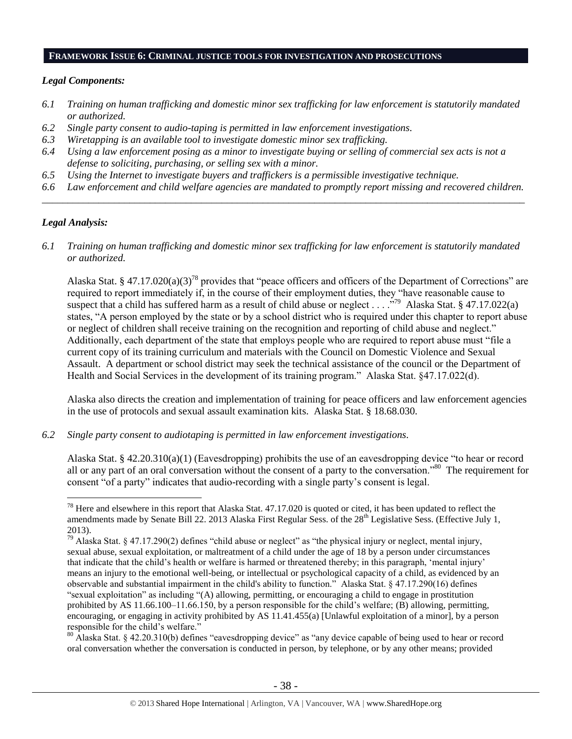#### **FRAMEWORK ISSUE 6: CRIMINAL JUSTICE TOOLS FOR INVESTIGATION AND PROSECUTIONS**

#### *Legal Components:*

- *6.1 Training on human trafficking and domestic minor sex trafficking for law enforcement is statutorily mandated or authorized.*
- *6.2 Single party consent to audio-taping is permitted in law enforcement investigations.*
- *6.3 Wiretapping is an available tool to investigate domestic minor sex trafficking.*
- *6.4 Using a law enforcement posing as a minor to investigate buying or selling of commercial sex acts is not a defense to soliciting, purchasing, or selling sex with a minor.*
- *6.5 Using the Internet to investigate buyers and traffickers is a permissible investigative technique.*
- *6.6 Law enforcement and child welfare agencies are mandated to promptly report missing and recovered children. \_\_\_\_\_\_\_\_\_\_\_\_\_\_\_\_\_\_\_\_\_\_\_\_\_\_\_\_\_\_\_\_\_\_\_\_\_\_\_\_\_\_\_\_\_\_\_\_\_\_\_\_\_\_\_\_\_\_\_\_\_\_\_\_\_\_\_\_\_\_\_\_\_\_\_\_\_\_\_\_\_\_\_\_\_\_\_\_\_\_\_\_\_\_*

## *Legal Analysis:*

 $\overline{a}$ 

*6.1 Training on human trafficking and domestic minor sex trafficking for law enforcement is statutorily mandated or authorized.*

Alaska Stat. § 47.17.020(a)(3)<sup>78</sup> provides that "peace officers and officers of the Department of Corrections" are required to report immediately if, in the course of their employment duties, they "have reasonable cause to suspect that a child has suffered harm as a result of child abuse or neglect . . . .<sup>.79</sup> Alaska Stat. § 47.17.022(a) states, "A person employed by the state or by a school district who is required under this chapter to report abuse or neglect of children shall receive training on the recognition and reporting of child abuse and neglect." Additionally, each department of the state that employs people who are required to report abuse must "file a current copy of its training curriculum and materials with the Council on Domestic Violence and Sexual Assault. A department or school district may seek the technical assistance of the council or the Department of Health and Social Services in the development of its training program." Alaska Stat. §47.17.022(d).

Alaska also directs the creation and implementation of training for peace officers and law enforcement agencies in the use of protocols and sexual assault examination kits. Alaska Stat. § 18.68.030.

*6.2 Single party consent to audiotaping is permitted in law enforcement investigations.*

Alaska Stat. § 42.20.310(a)(1) (Eavesdropping) prohibits the use of an eavesdropping device "to hear or record all or any part of an oral conversation without the consent of a party to the conversation."<sup>80</sup> The requirement for consent "of a party" indicates that audio-recording with a single party's consent is legal.

<sup>80</sup> Alaska Stat. § 42.20.310(b) defines "eavesdropping device" as "any device capable of being used to hear or record oral conversation whether the conversation is conducted in person, by telephone, or by any other means; provided

 $78$  Here and elsewhere in this report that Alaska Stat. 47.17.020 is quoted or cited, it has been updated to reflect the amendments made by Senate Bill 22. 2013 Alaska First Regular Sess. of the 28<sup>th</sup> Legislative Sess. (Effective July 1, 2013).

 $79$  Alaska Stat. § 47.17.290(2) defines "child abuse or neglect" as "the physical injury or neglect, mental injury, sexual abuse, sexual exploitation, or maltreatment of a child under the age of 18 by a person under circumstances that indicate that the child's health or welfare is harmed or threatened thereby; in this paragraph, 'mental injury' means an injury to the emotional well-being, or intellectual or psychological capacity of a child, as evidenced by an observable and substantial impairment in the child's ability to function." Alaska Stat. § 47.17.290(16) defines "sexual exploitation" as including "(A) allowing, permitting, or encouraging a child to engage in prostitution prohibited by AS 11.66.100–11.66.150, by a person responsible for the child's welfare; (B) allowing, permitting, encouraging, or engaging in activity prohibited by AS 11.41.455(a) [Unlawful exploitation of a minor], by a person responsible for the child's welfare."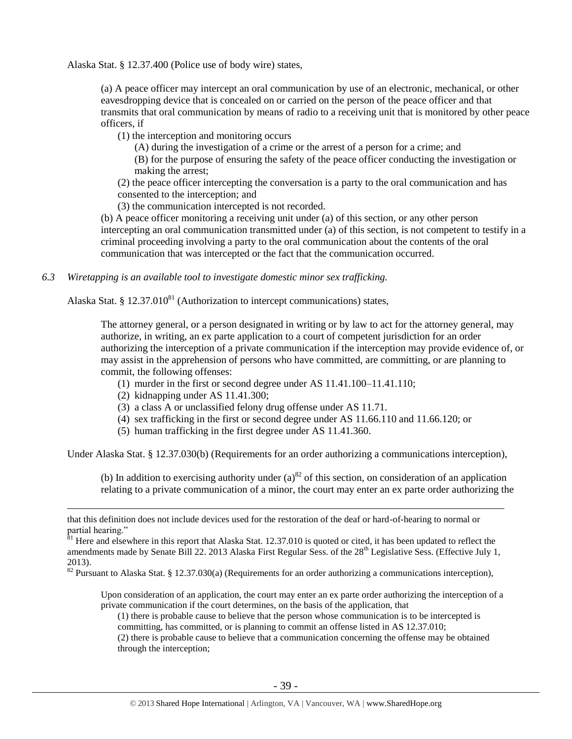Alaska Stat. § 12.37.400 (Police use of body wire) states,

(a) A peace officer may intercept an oral communication by use of an electronic, mechanical, or other eavesdropping device that is concealed on or carried on the person of the peace officer and that transmits that oral communication by means of radio to a receiving unit that is monitored by other peace officers, if

(1) the interception and monitoring occurs

(A) during the investigation of a crime or the arrest of a person for a crime; and

(B) for the purpose of ensuring the safety of the peace officer conducting the investigation or making the arrest;

(2) the peace officer intercepting the conversation is a party to the oral communication and has consented to the interception; and

(3) the communication intercepted is not recorded.

(b) A peace officer monitoring a receiving unit under (a) of this section, or any other person intercepting an oral communication transmitted under (a) of this section, is not competent to testify in a criminal proceeding involving a party to the oral communication about the contents of the oral communication that was intercepted or the fact that the communication occurred.

*6.3 Wiretapping is an available tool to investigate domestic minor sex trafficking.* 

Alaska Stat. § 12.37.010 $^{81}$  (Authorization to intercept communications) states,

The attorney general, or a person designated in writing or by law to act for the attorney general, may authorize, in writing, an ex parte application to a court of competent jurisdiction for an order authorizing the interception of a private communication if the interception may provide evidence of, or may assist in the apprehension of persons who have committed, are committing, or are planning to commit, the following offenses:

- (1) murder in the first or second degree under AS 11.41.100–11.41.110;
- (2) kidnapping under AS 11.41.300;

 $\overline{a}$ 

- (3) a class A or unclassified felony drug offense under AS 11.71.
- (4) sex trafficking in the first or second degree under AS 11.66.110 and 11.66.120; or
- (5) human trafficking in the first degree under AS 11.41.360.

Under Alaska Stat. § 12.37.030(b) (Requirements for an order authorizing a communications interception),

(b) In addition to exercising authority under  $(a)^{82}$  of this section, on consideration of an application relating to a private communication of a minor, the court may enter an ex parte order authorizing the

Upon consideration of an application, the court may enter an ex parte order authorizing the interception of a private communication if the court determines, on the basis of the application, that

(1) there is probable cause to believe that the person whose communication is to be intercepted is committing, has committed, or is planning to commit an offense listed in AS 12.37.010;

(2) there is probable cause to believe that a communication concerning the offense may be obtained through the interception;

that this definition does not include devices used for the restoration of the deaf or hard-of-hearing to normal or partial hearing."

 $\frac{81}{1}$  Here and elsewhere in this report that Alaska Stat. 12.37.010 is quoted or cited, it has been updated to reflect the amendments made by Senate Bill 22. 2013 Alaska First Regular Sess. of the 28<sup>th</sup> Legislative Sess. (Effective July 1, 2013).

<sup>82</sup> Pursuant to Alaska Stat. § 12.37.030(a) (Requirements for an order authorizing a communications interception),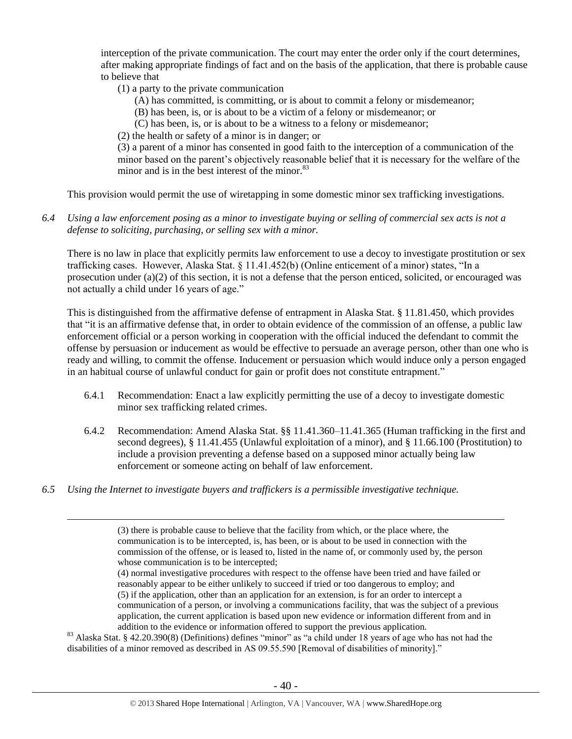interception of the private communication. The court may enter the order only if the court determines, after making appropriate findings of fact and on the basis of the application, that there is probable cause to believe that

- (1) a party to the private communication
	- (A) has committed, is committing, or is about to commit a felony or misdemeanor;
	- (B) has been, is, or is about to be a victim of a felony or misdemeanor; or
	- (C) has been, is, or is about to be a witness to a felony or misdemeanor;
- (2) the health or safety of a minor is in danger; or

(3) a parent of a minor has consented in good faith to the interception of a communication of the minor based on the parent's objectively reasonable belief that it is necessary for the welfare of the minor and is in the best interest of the minor. $83$ 

This provision would permit the use of wiretapping in some domestic minor sex trafficking investigations.

*6.4 Using a law enforcement posing as a minor to investigate buying or selling of commercial sex acts is not a defense to soliciting, purchasing, or selling sex with a minor.*

There is no law in place that explicitly permits law enforcement to use a decoy to investigate prostitution or sex trafficking cases. However, Alaska Stat. § 11.41.452(b) (Online enticement of a minor) states, "In a prosecution under (a)(2) of this section, it is not a defense that the person enticed, solicited, or encouraged was not actually a child under 16 years of age."

This is distinguished from the affirmative defense of entrapment in Alaska Stat. § 11.81.450, which provides that "it is an affirmative defense that, in order to obtain evidence of the commission of an offense, a public law enforcement official or a person working in cooperation with the official induced the defendant to commit the offense by persuasion or inducement as would be effective to persuade an average person, other than one who is ready and willing, to commit the offense. Inducement or persuasion which would induce only a person engaged in an habitual course of unlawful conduct for gain or profit does not constitute entrapment."

- 6.4.1 Recommendation: Enact a law explicitly permitting the use of a decoy to investigate domestic minor sex trafficking related crimes.
- 6.4.2 Recommendation: Amend Alaska Stat. §§ 11.41.360–11.41.365 (Human trafficking in the first and second degrees), § 11.41.455 (Unlawful exploitation of a minor), and § 11.66.100 (Prostitution) to include a provision preventing a defense based on a supposed minor actually being law enforcement or someone acting on behalf of law enforcement.
- *6.5 Using the Internet to investigate buyers and traffickers is a permissible investigative technique.*

 $\overline{a}$ 

(4) normal investigative procedures with respect to the offense have been tried and have failed or reasonably appear to be either unlikely to succeed if tried or too dangerous to employ; and (5) if the application, other than an application for an extension, is for an order to intercept a communication of a person, or involving a communications facility, that was the subject of a previous application, the current application is based upon new evidence or information different from and in addition to the evidence or information offered to support the previous application.

<sup>83</sup> Alaska Stat. § 42.20.390(8) (Definitions) defines "minor" as "a child under 18 years of age who has not had the disabilities of a minor removed as described in AS 09.55.590 [Removal of disabilities of minority]."

<sup>(3)</sup> there is probable cause to believe that the facility from which, or the place where, the communication is to be intercepted, is, has been, or is about to be used in connection with the commission of the offense, or is leased to, listed in the name of, or commonly used by, the person whose communication is to be intercepted;